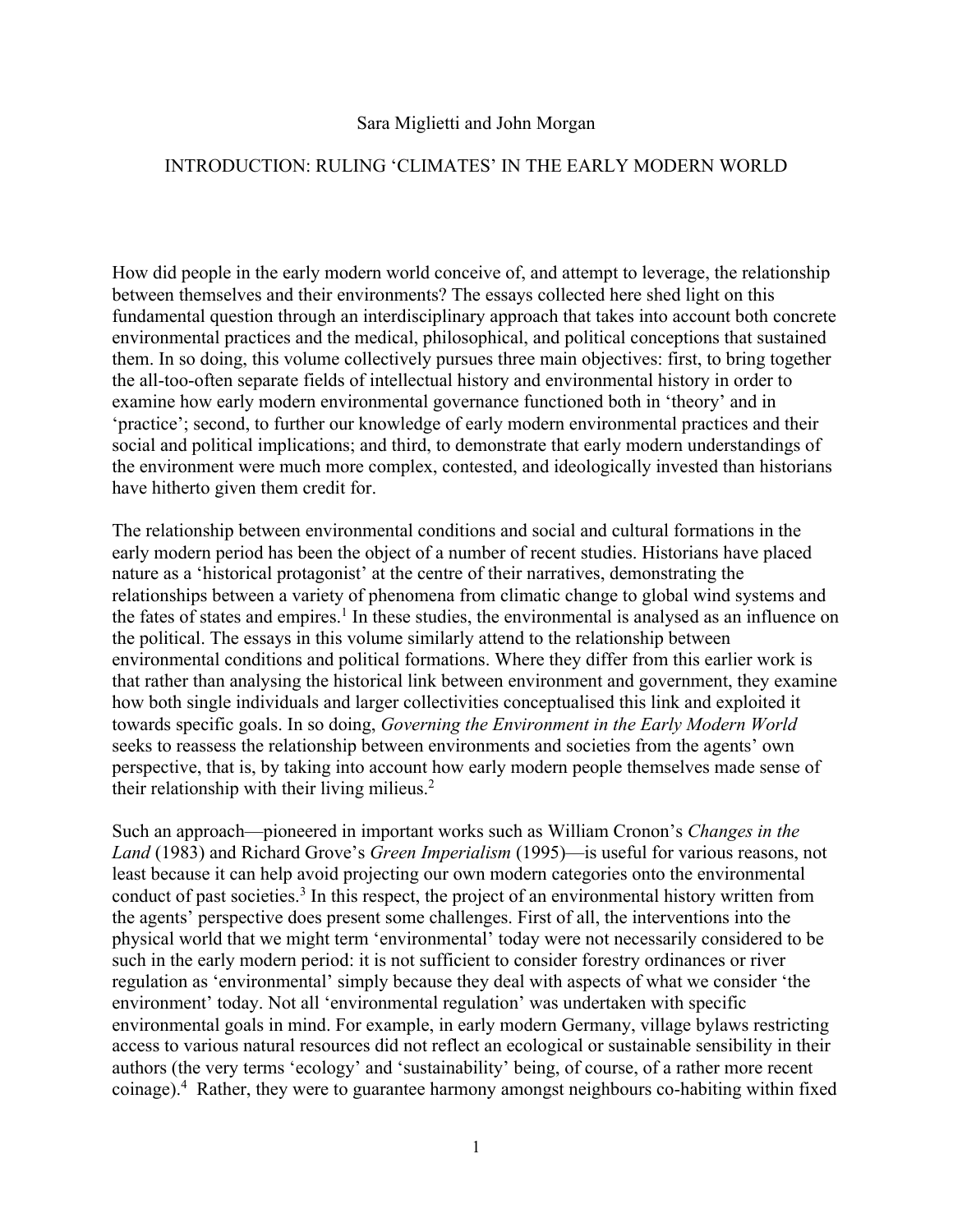## Sara Miglietti and John Morgan

## INTRODUCTION: RULING 'CLIMATES' IN THE EARLY MODERN WORLD

How did people in the early modern world conceive of, and attempt to leverage, the relationship between themselves and their environments? The essays collected here shed light on this fundamental question through an interdisciplinary approach that takes into account both concrete environmental practices and the medical, philosophical, and political conceptions that sustained them. In so doing, this volume collectively pursues three main objectives: first, to bring together the all-too-often separate fields of intellectual history and environmental history in order to examine how early modern environmental governance functioned both in 'theory' and in 'practice'; second, to further our knowledge of early modern environmental practices and their social and political implications; and third, to demonstrate that early modern understandings of the environment were much more complex, contested, and ideologically invested than historians have hitherto given them credit for.

The relationship between environmental conditions and social and cultural formations in the early modern period has been the object of a number of recent studies. Historians have placed nature as a 'historical protagonist' at the centre of their narratives, demonstrating the relationships between a variety of phenomena from climatic change to global wind systems and the fates of states and empires.<sup>1</sup> In these studies, the environmental is analysed as an influence on the political. The essays in this volume similarly attend to the relationship between environmental conditions and political formations. Where they differ from this earlier work is that rather than analysing the historical link between environment and government, they examine how both single individuals and larger collectivities conceptualised this link and exploited it towards specific goals. In so doing, *Governing the Environment in the Early Modern World* seeks to reassess the relationship between environments and societies from the agents' own perspective, that is, by taking into account how early modern people themselves made sense of their relationship with their living milieus.<sup>2</sup>

Such an approach—pioneered in important works such as William Cronon's *Changes in the Land* (1983) and Richard Grove's *Green Imperialism* (1995)—is useful for various reasons, not least because it can help avoid projecting our own modern categories onto the environmental conduct of past societies.3 In this respect, the project of an environmental history written from the agents' perspective does present some challenges. First of all, the interventions into the physical world that we might term 'environmental' today were not necessarily considered to be such in the early modern period: it is not sufficient to consider forestry ordinances or river regulation as 'environmental' simply because they deal with aspects of what we consider 'the environment' today. Not all 'environmental regulation' was undertaken with specific environmental goals in mind. For example, in early modern Germany, village bylaws restricting access to various natural resources did not reflect an ecological or sustainable sensibility in their authors (the very terms 'ecology' and 'sustainability' being, of course, of a rather more recent coinage).4 Rather, they were to guarantee harmony amongst neighbours co-habiting within fixed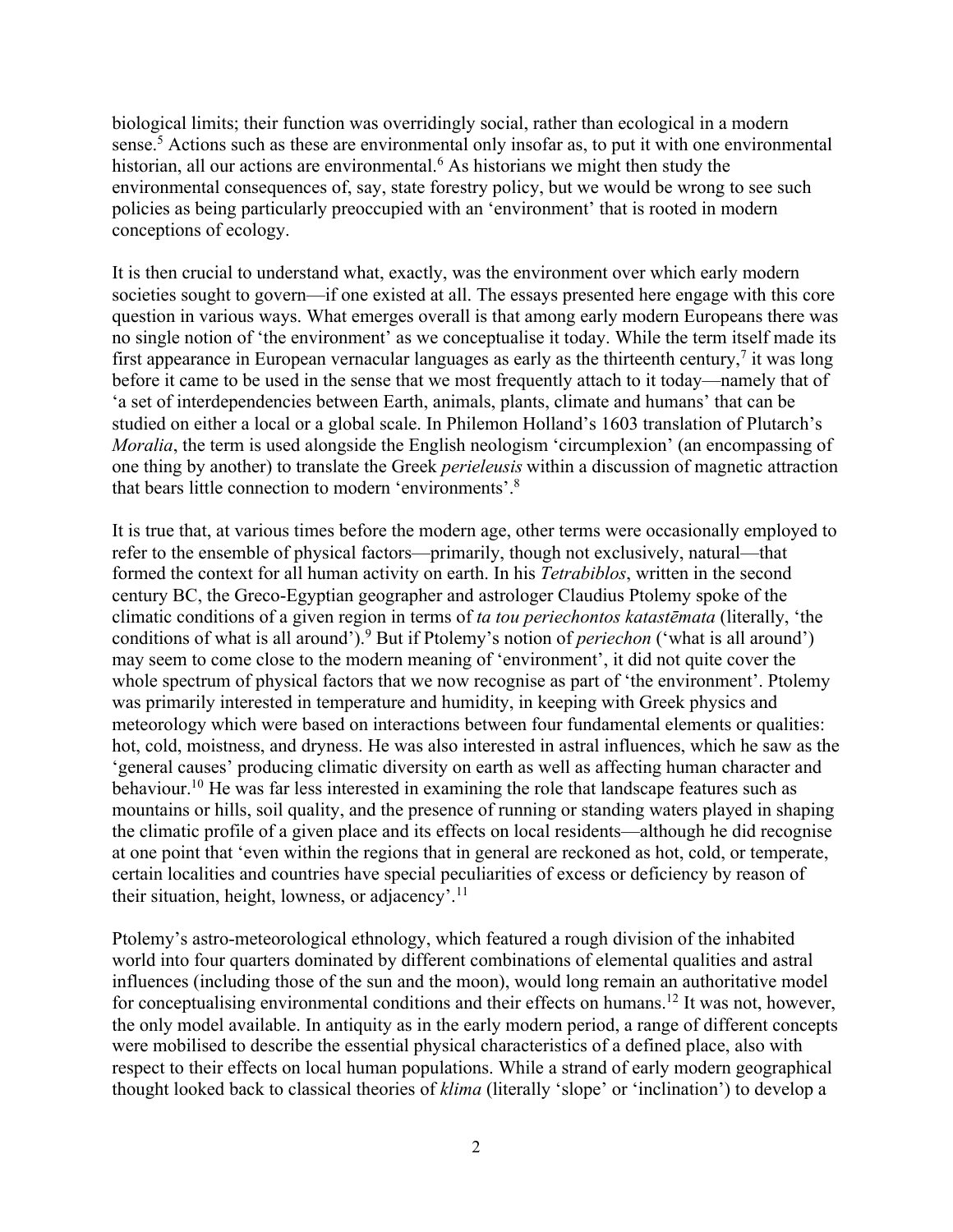biological limits; their function was overridingly social, rather than ecological in a modern sense.<sup>5</sup> Actions such as these are environmental only insofar as, to put it with one environmental historian, all our actions are environmental.<sup>6</sup> As historians we might then study the environmental consequences of, say, state forestry policy, but we would be wrong to see such policies as being particularly preoccupied with an 'environment' that is rooted in modern conceptions of ecology.

It is then crucial to understand what, exactly, was the environment over which early modern societies sought to govern—if one existed at all. The essays presented here engage with this core question in various ways. What emerges overall is that among early modern Europeans there was no single notion of 'the environment' as we conceptualise it today. While the term itself made its first appearance in European vernacular languages as early as the thirteenth century, $\frac{7}{1}$  it was long before it came to be used in the sense that we most frequently attach to it today—namely that of 'a set of interdependencies between Earth, animals, plants, climate and humans' that can be studied on either a local or a global scale. In Philemon Holland's 1603 translation of Plutarch's *Moralia*, the term is used alongside the English neologism 'circumplexion' (an encompassing of one thing by another) to translate the Greek *perieleusis* within a discussion of magnetic attraction that bears little connection to modern 'environments'.8

It is true that, at various times before the modern age, other terms were occasionally employed to refer to the ensemble of physical factors—primarily, though not exclusively, natural—that formed the context for all human activity on earth. In his *Tetrabiblos*, written in the second century BC, the Greco-Egyptian geographer and astrologer Claudius Ptolemy spoke of the climatic conditions of a given region in terms of *ta tou periechontos katastēmata* (literally, 'the conditions of what is all around'). <sup>9</sup> But if Ptolemy's notion of *periechon* ('what is all around') may seem to come close to the modern meaning of 'environment', it did not quite cover the whole spectrum of physical factors that we now recognise as part of 'the environment'. Ptolemy was primarily interested in temperature and humidity, in keeping with Greek physics and meteorology which were based on interactions between four fundamental elements or qualities: hot, cold, moistness, and dryness. He was also interested in astral influences, which he saw as the 'general causes' producing climatic diversity on earth as well as affecting human character and behaviour.<sup>10</sup> He was far less interested in examining the role that landscape features such as mountains or hills, soil quality, and the presence of running or standing waters played in shaping the climatic profile of a given place and its effects on local residents—although he did recognise at one point that 'even within the regions that in general are reckoned as hot, cold, or temperate, certain localities and countries have special peculiarities of excess or deficiency by reason of their situation, height, lowness, or adjacency'.<sup>11</sup>

Ptolemy's astro-meteorological ethnology, which featured a rough division of the inhabited world into four quarters dominated by different combinations of elemental qualities and astral influences (including those of the sun and the moon), would long remain an authoritative model for conceptualising environmental conditions and their effects on humans.<sup>12</sup> It was not, however, the only model available. In antiquity as in the early modern period, a range of different concepts were mobilised to describe the essential physical characteristics of a defined place, also with respect to their effects on local human populations. While a strand of early modern geographical thought looked back to classical theories of *klima* (literally 'slope' or 'inclination') to develop a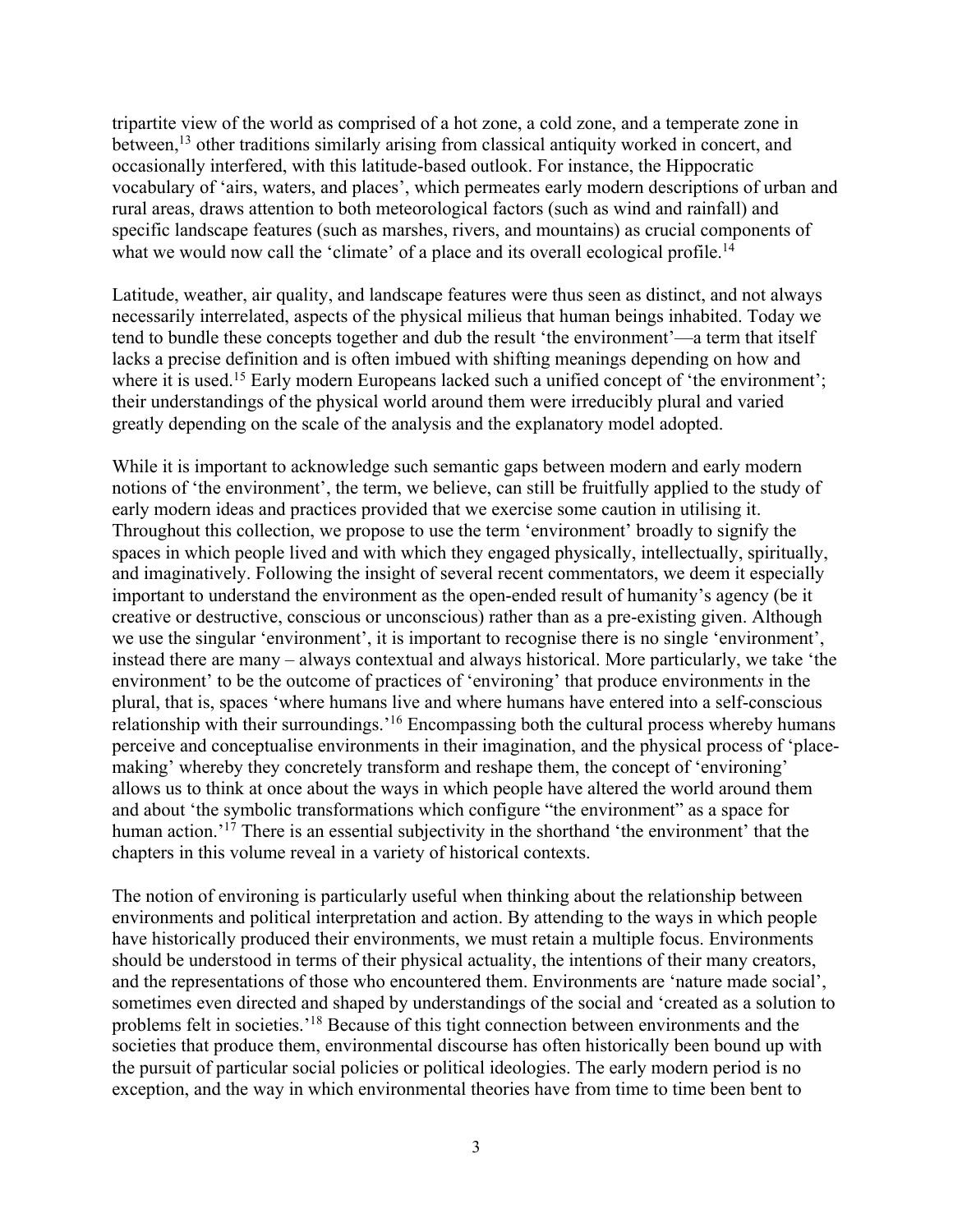tripartite view of the world as comprised of a hot zone, a cold zone, and a temperate zone in between,<sup>13</sup> other traditions similarly arising from classical antiquity worked in concert, and occasionally interfered, with this latitude-based outlook. For instance, the Hippocratic vocabulary of 'airs, waters, and places', which permeates early modern descriptions of urban and rural areas, draws attention to both meteorological factors (such as wind and rainfall) and specific landscape features (such as marshes, rivers, and mountains) as crucial components of what we would now call the 'climate' of a place and its overall ecological profile.<sup>14</sup>

Latitude, weather, air quality, and landscape features were thus seen as distinct, and not always necessarily interrelated, aspects of the physical milieus that human beings inhabited. Today we tend to bundle these concepts together and dub the result 'the environment'—a term that itself lacks a precise definition and is often imbued with shifting meanings depending on how and where it is used.<sup>15</sup> Early modern Europeans lacked such a unified concept of 'the environment'; their understandings of the physical world around them were irreducibly plural and varied greatly depending on the scale of the analysis and the explanatory model adopted.

While it is important to acknowledge such semantic gaps between modern and early modern notions of 'the environment', the term, we believe, can still be fruitfully applied to the study of early modern ideas and practices provided that we exercise some caution in utilising it. Throughout this collection, we propose to use the term 'environment' broadly to signify the spaces in which people lived and with which they engaged physically, intellectually, spiritually, and imaginatively. Following the insight of several recent commentators, we deem it especially important to understand the environment as the open-ended result of humanity's agency (be it creative or destructive, conscious or unconscious) rather than as a pre-existing given. Although we use the singular 'environment', it is important to recognise there is no single 'environment', instead there are many – always contextual and always historical. More particularly, we take 'the environment' to be the outcome of practices of 'environing' that produce environment*s* in the plural, that is, spaces 'where humans live and where humans have entered into a self-conscious relationship with their surroundings.'16 Encompassing both the cultural process whereby humans perceive and conceptualise environments in their imagination, and the physical process of 'placemaking' whereby they concretely transform and reshape them, the concept of 'environing' allows us to think at once about the ways in which people have altered the world around them and about 'the symbolic transformations which configure "the environment" as a space for human action.<sup>'17</sup> There is an essential subjectivity in the shorthand 'the environment' that the chapters in this volume reveal in a variety of historical contexts.

The notion of environing is particularly useful when thinking about the relationship between environments and political interpretation and action. By attending to the ways in which people have historically produced their environments, we must retain a multiple focus. Environments should be understood in terms of their physical actuality, the intentions of their many creators, and the representations of those who encountered them. Environments are 'nature made social', sometimes even directed and shaped by understandings of the social and 'created as a solution to problems felt in societies.'18 Because of this tight connection between environments and the societies that produce them, environmental discourse has often historically been bound up with the pursuit of particular social policies or political ideologies. The early modern period is no exception, and the way in which environmental theories have from time to time been bent to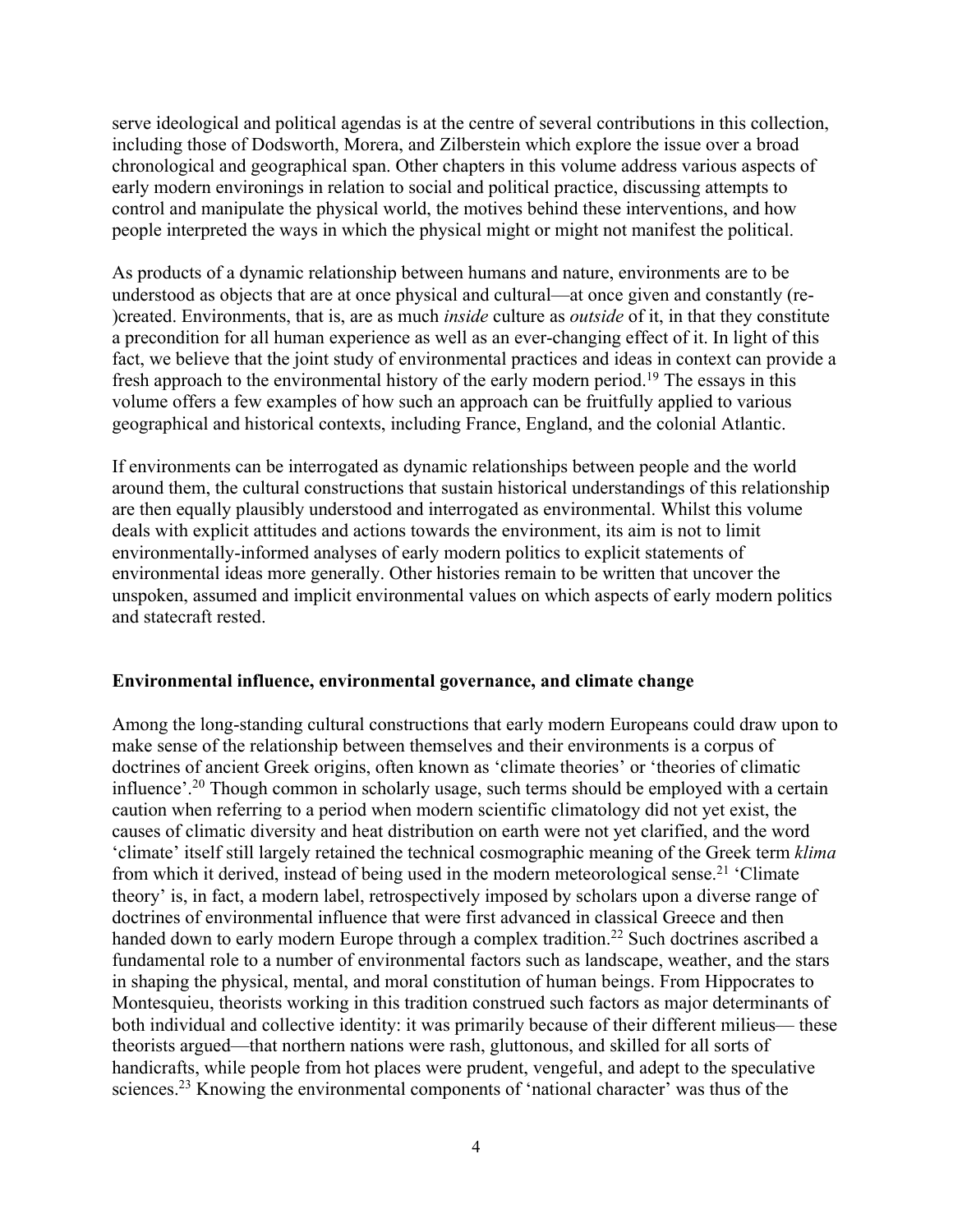serve ideological and political agendas is at the centre of several contributions in this collection, including those of Dodsworth, Morera, and Zilberstein which explore the issue over a broad chronological and geographical span. Other chapters in this volume address various aspects of early modern environings in relation to social and political practice, discussing attempts to control and manipulate the physical world, the motives behind these interventions, and how people interpreted the ways in which the physical might or might not manifest the political.

As products of a dynamic relationship between humans and nature, environments are to be understood as objects that are at once physical and cultural—at once given and constantly (re- )created. Environments, that is, are as much *inside* culture as *outside* of it, in that they constitute a precondition for all human experience as well as an ever-changing effect of it. In light of this fact, we believe that the joint study of environmental practices and ideas in context can provide a fresh approach to the environmental history of the early modern period.<sup>19</sup> The essays in this volume offers a few examples of how such an approach can be fruitfully applied to various geographical and historical contexts, including France, England, and the colonial Atlantic.

If environments can be interrogated as dynamic relationships between people and the world around them, the cultural constructions that sustain historical understandings of this relationship are then equally plausibly understood and interrogated as environmental. Whilst this volume deals with explicit attitudes and actions towards the environment, its aim is not to limit environmentally-informed analyses of early modern politics to explicit statements of environmental ideas more generally. Other histories remain to be written that uncover the unspoken, assumed and implicit environmental values on which aspects of early modern politics and statecraft rested.

## **Environmental influence, environmental governance, and climate change**

Among the long-standing cultural constructions that early modern Europeans could draw upon to make sense of the relationship between themselves and their environments is a corpus of doctrines of ancient Greek origins, often known as 'climate theories' or 'theories of climatic influence'.<sup>20</sup> Though common in scholarly usage, such terms should be employed with a certain caution when referring to a period when modern scientific climatology did not yet exist, the causes of climatic diversity and heat distribution on earth were not yet clarified, and the word 'climate' itself still largely retained the technical cosmographic meaning of the Greek term *klima*  from which it derived, instead of being used in the modern meteorological sense.<sup>21</sup> 'Climate theory' is, in fact, a modern label, retrospectively imposed by scholars upon a diverse range of doctrines of environmental influence that were first advanced in classical Greece and then handed down to early modern Europe through a complex tradition.<sup>22</sup> Such doctrines ascribed a fundamental role to a number of environmental factors such as landscape, weather, and the stars in shaping the physical, mental, and moral constitution of human beings. From Hippocrates to Montesquieu, theorists working in this tradition construed such factors as major determinants of both individual and collective identity: it was primarily because of their different milieus— these theorists argued—that northern nations were rash, gluttonous, and skilled for all sorts of handicrafts, while people from hot places were prudent, vengeful, and adept to the speculative sciences.<sup>23</sup> Knowing the environmental components of 'national character' was thus of the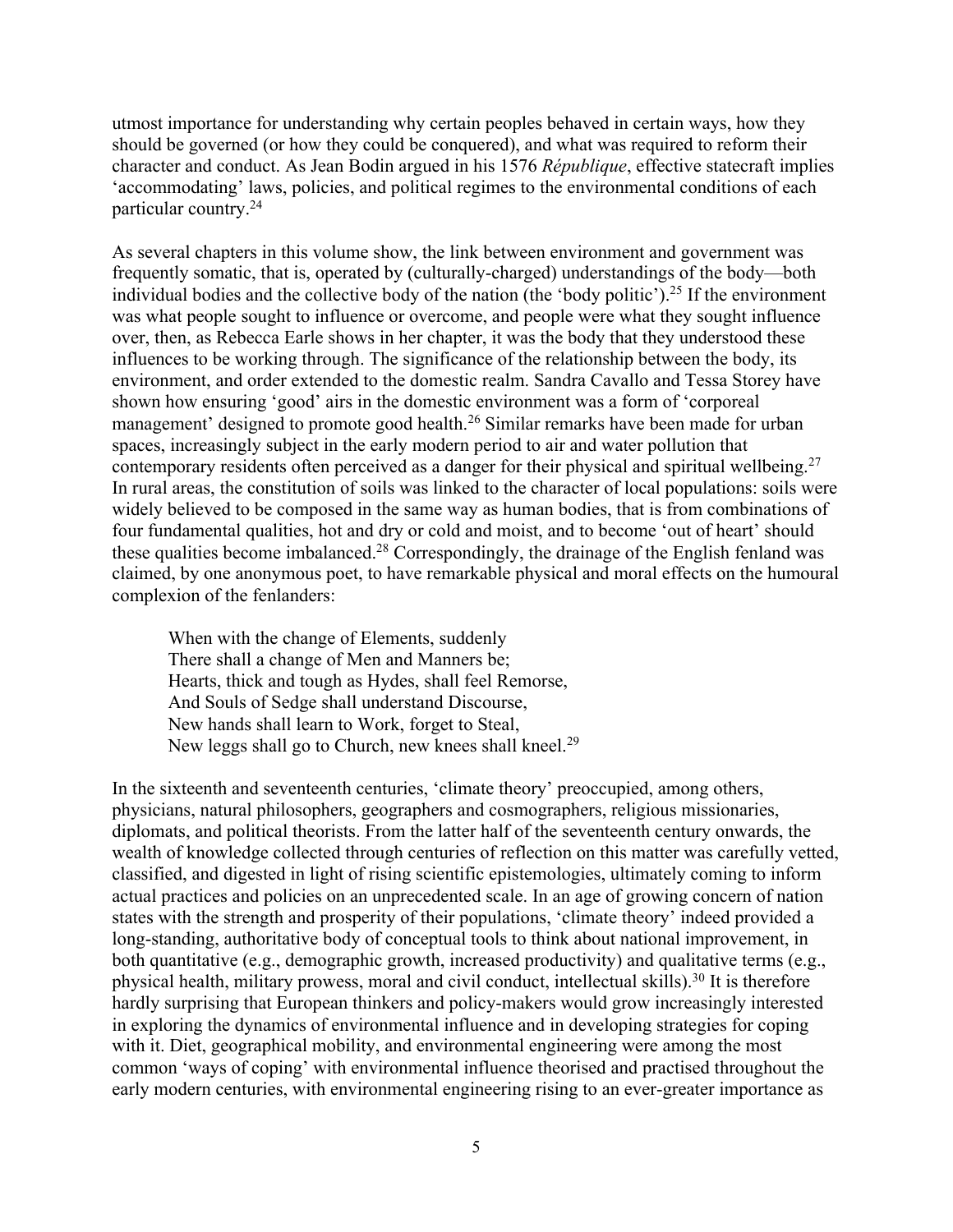utmost importance for understanding why certain peoples behaved in certain ways, how they should be governed (or how they could be conquered), and what was required to reform their character and conduct. As Jean Bodin argued in his 1576 *République*, effective statecraft implies 'accommodating' laws, policies, and political regimes to the environmental conditions of each particular country.24

As several chapters in this volume show, the link between environment and government was frequently somatic, that is, operated by (culturally-charged) understandings of the body—both individual bodies and the collective body of the nation (the 'body politic'). <sup>25</sup> If the environment was what people sought to influence or overcome, and people were what they sought influence over, then, as Rebecca Earle shows in her chapter, it was the body that they understood these influences to be working through. The significance of the relationship between the body, its environment, and order extended to the domestic realm. Sandra Cavallo and Tessa Storey have shown how ensuring 'good' airs in the domestic environment was a form of 'corporeal management' designed to promote good health.<sup>26</sup> Similar remarks have been made for urban spaces, increasingly subject in the early modern period to air and water pollution that contemporary residents often perceived as a danger for their physical and spiritual wellbeing.<sup>27</sup> In rural areas, the constitution of soils was linked to the character of local populations: soils were widely believed to be composed in the same way as human bodies, that is from combinations of four fundamental qualities, hot and dry or cold and moist, and to become 'out of heart' should these qualities become imbalanced.28 Correspondingly, the drainage of the English fenland was claimed, by one anonymous poet, to have remarkable physical and moral effects on the humoural complexion of the fenlanders:

When with the change of Elements, suddenly There shall a change of Men and Manners be; Hearts, thick and tough as Hydes, shall feel Remorse, And Souls of Sedge shall understand Discourse, New hands shall learn to Work, forget to Steal, New leggs shall go to Church, new knees shall kneel.<sup>29</sup>

In the sixteenth and seventeenth centuries, 'climate theory' preoccupied, among others, physicians, natural philosophers, geographers and cosmographers, religious missionaries, diplomats, and political theorists. From the latter half of the seventeenth century onwards, the wealth of knowledge collected through centuries of reflection on this matter was carefully vetted, classified, and digested in light of rising scientific epistemologies, ultimately coming to inform actual practices and policies on an unprecedented scale. In an age of growing concern of nation states with the strength and prosperity of their populations, 'climate theory' indeed provided a long-standing, authoritative body of conceptual tools to think about national improvement, in both quantitative (e.g., demographic growth, increased productivity) and qualitative terms (e.g., physical health, military prowess, moral and civil conduct, intellectual skills).30 It is therefore hardly surprising that European thinkers and policy-makers would grow increasingly interested in exploring the dynamics of environmental influence and in developing strategies for coping with it. Diet, geographical mobility, and environmental engineering were among the most common 'ways of coping' with environmental influence theorised and practised throughout the early modern centuries, with environmental engineering rising to an ever-greater importance as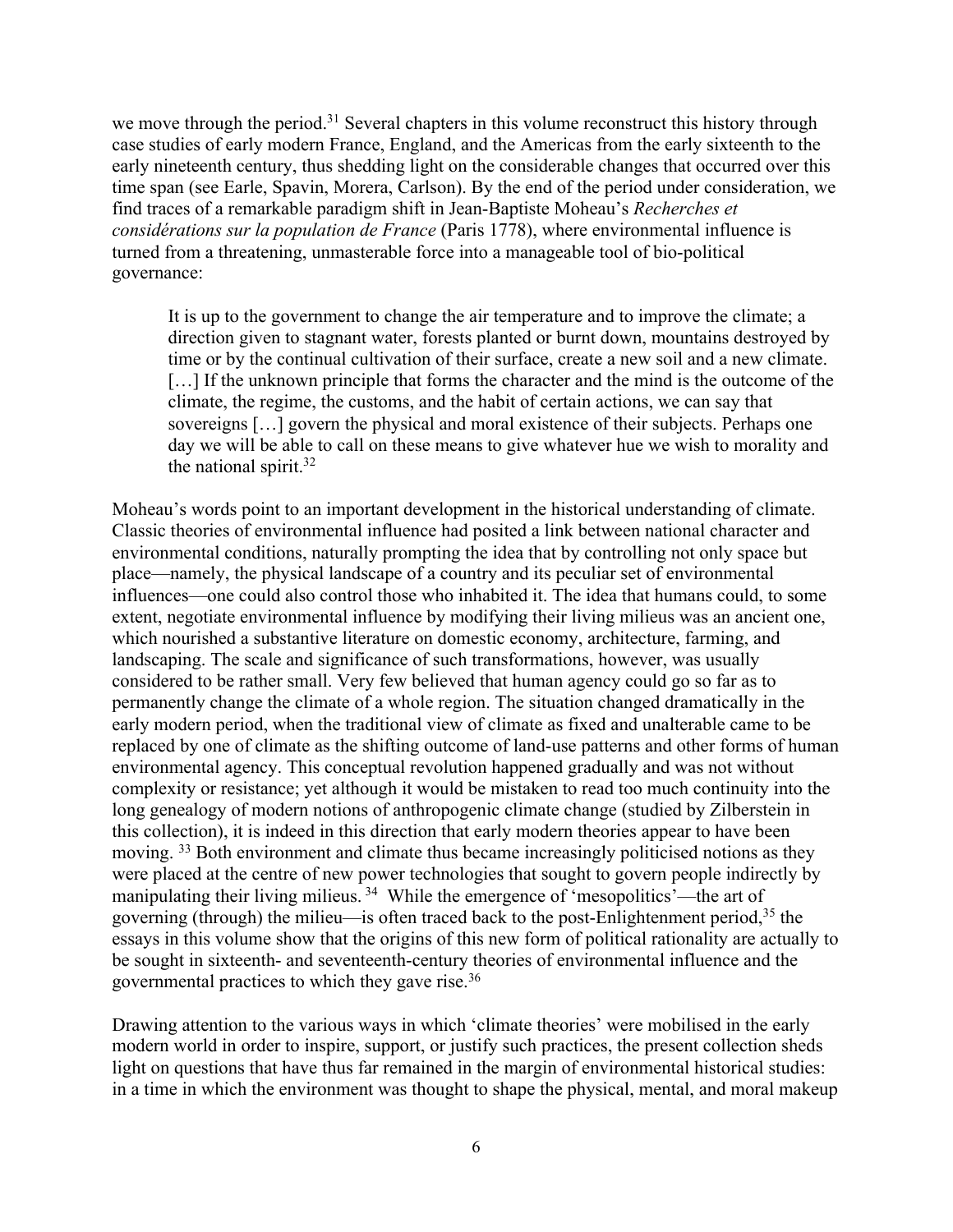we move through the period.<sup>31</sup> Several chapters in this volume reconstruct this history through case studies of early modern France, England, and the Americas from the early sixteenth to the early nineteenth century, thus shedding light on the considerable changes that occurred over this time span (see Earle, Spavin, Morera, Carlson). By the end of the period under consideration, we find traces of a remarkable paradigm shift in Jean-Baptiste Moheau's *Recherches et considérations sur la population de France* (Paris 1778), where environmental influence is turned from a threatening, unmasterable force into a manageable tool of bio-political governance:

It is up to the government to change the air temperature and to improve the climate; a direction given to stagnant water, forests planted or burnt down, mountains destroyed by time or by the continual cultivation of their surface, create a new soil and a new climate. [...] If the unknown principle that forms the character and the mind is the outcome of the climate, the regime, the customs, and the habit of certain actions, we can say that sovereigns […] govern the physical and moral existence of their subjects. Perhaps one day we will be able to call on these means to give whatever hue we wish to morality and the national spirit.<sup>32</sup>

Moheau's words point to an important development in the historical understanding of climate. Classic theories of environmental influence had posited a link between national character and environmental conditions, naturally prompting the idea that by controlling not only space but place—namely, the physical landscape of a country and its peculiar set of environmental influences—one could also control those who inhabited it. The idea that humans could, to some extent, negotiate environmental influence by modifying their living milieus was an ancient one, which nourished a substantive literature on domestic economy, architecture, farming, and landscaping. The scale and significance of such transformations, however, was usually considered to be rather small. Very few believed that human agency could go so far as to permanently change the climate of a whole region. The situation changed dramatically in the early modern period, when the traditional view of climate as fixed and unalterable came to be replaced by one of climate as the shifting outcome of land-use patterns and other forms of human environmental agency. This conceptual revolution happened gradually and was not without complexity or resistance; yet although it would be mistaken to read too much continuity into the long genealogy of modern notions of anthropogenic climate change (studied by Zilberstein in this collection), it is indeed in this direction that early modern theories appear to have been moving. <sup>33</sup> Both environment and climate thus became increasingly politicised notions as they were placed at the centre of new power technologies that sought to govern people indirectly by manipulating their living milieus.<sup>34</sup> While the emergence of 'mesopolitics'—the art of governing (through) the milieu—is often traced back to the post-Enlightenment period,<sup>35</sup> the essays in this volume show that the origins of this new form of political rationality are actually to be sought in sixteenth- and seventeenth-century theories of environmental influence and the governmental practices to which they gave rise.36

Drawing attention to the various ways in which 'climate theories' were mobilised in the early modern world in order to inspire, support, or justify such practices, the present collection sheds light on questions that have thus far remained in the margin of environmental historical studies: in a time in which the environment was thought to shape the physical, mental, and moral makeup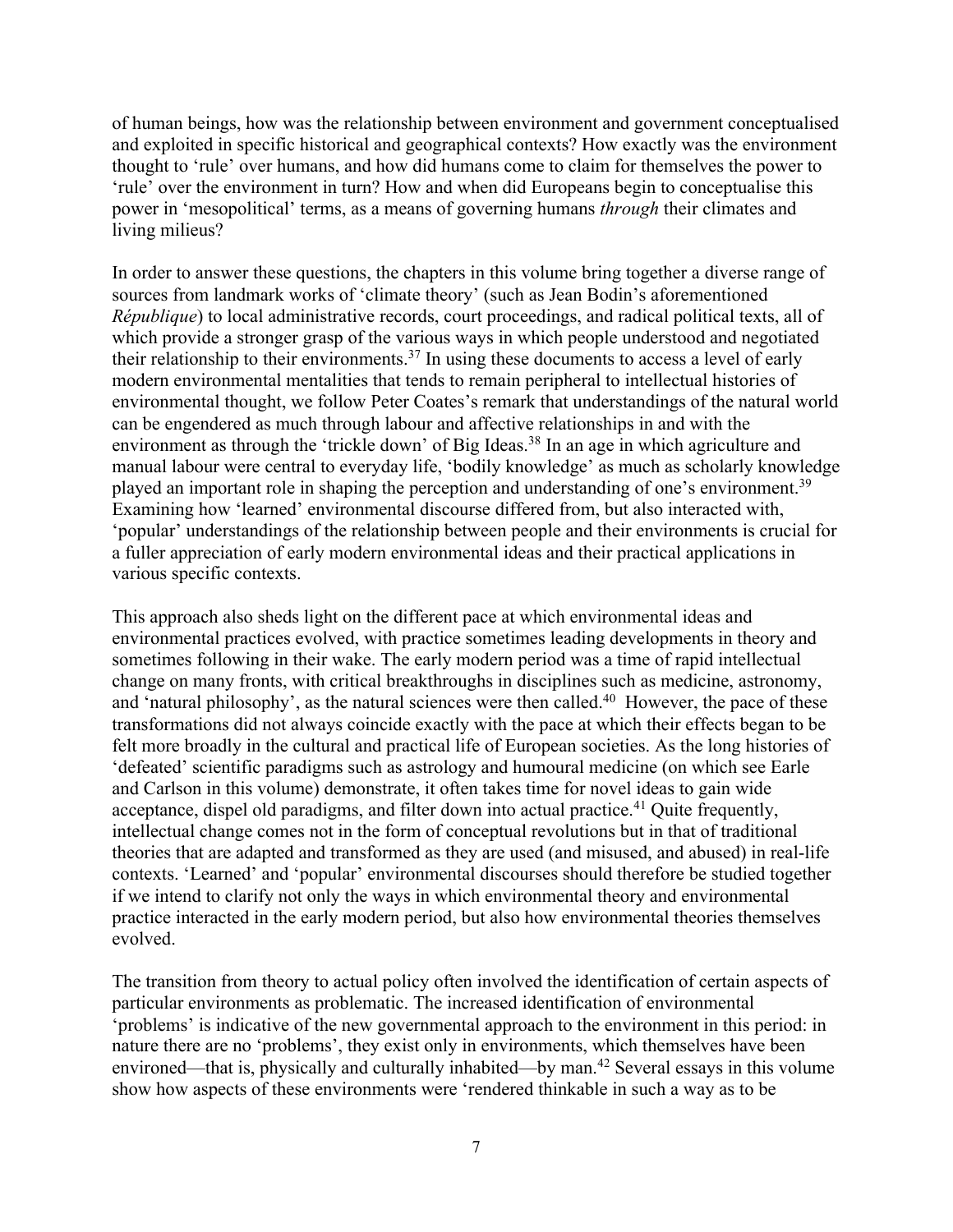of human beings, how was the relationship between environment and government conceptualised and exploited in specific historical and geographical contexts? How exactly was the environment thought to 'rule' over humans, and how did humans come to claim for themselves the power to 'rule' over the environment in turn? How and when did Europeans begin to conceptualise this power in 'mesopolitical' terms, as a means of governing humans *through* their climates and living milieus?

In order to answer these questions, the chapters in this volume bring together a diverse range of sources from landmark works of 'climate theory' (such as Jean Bodin's aforementioned *République*) to local administrative records, court proceedings, and radical political texts, all of which provide a stronger grasp of the various ways in which people understood and negotiated their relationship to their environments.<sup>37</sup> In using these documents to access a level of early modern environmental mentalities that tends to remain peripheral to intellectual histories of environmental thought, we follow Peter Coates's remark that understandings of the natural world can be engendered as much through labour and affective relationships in and with the environment as through the 'trickle down' of Big Ideas.<sup>38</sup> In an age in which agriculture and manual labour were central to everyday life, 'bodily knowledge' as much as scholarly knowledge played an important role in shaping the perception and understanding of one's environment.<sup>39</sup> Examining how 'learned' environmental discourse differed from, but also interacted with, 'popular' understandings of the relationship between people and their environments is crucial for a fuller appreciation of early modern environmental ideas and their practical applications in various specific contexts.

This approach also sheds light on the different pace at which environmental ideas and environmental practices evolved, with practice sometimes leading developments in theory and sometimes following in their wake. The early modern period was a time of rapid intellectual change on many fronts, with critical breakthroughs in disciplines such as medicine, astronomy, and 'natural philosophy', as the natural sciences were then called.<sup>40</sup> However, the pace of these transformations did not always coincide exactly with the pace at which their effects began to be felt more broadly in the cultural and practical life of European societies. As the long histories of 'defeated' scientific paradigms such as astrology and humoural medicine (on which see Earle and Carlson in this volume) demonstrate, it often takes time for novel ideas to gain wide acceptance, dispel old paradigms, and filter down into actual practice.<sup>41</sup> Quite frequently, intellectual change comes not in the form of conceptual revolutions but in that of traditional theories that are adapted and transformed as they are used (and misused, and abused) in real-life contexts. 'Learned' and 'popular' environmental discourses should therefore be studied together if we intend to clarify not only the ways in which environmental theory and environmental practice interacted in the early modern period, but also how environmental theories themselves evolved.

The transition from theory to actual policy often involved the identification of certain aspects of particular environments as problematic. The increased identification of environmental 'problems' is indicative of the new governmental approach to the environment in this period: in nature there are no 'problems', they exist only in environments, which themselves have been environed—that is, physically and culturally inhabited—by man.<sup>42</sup> Several essays in this volume show how aspects of these environments were 'rendered thinkable in such a way as to be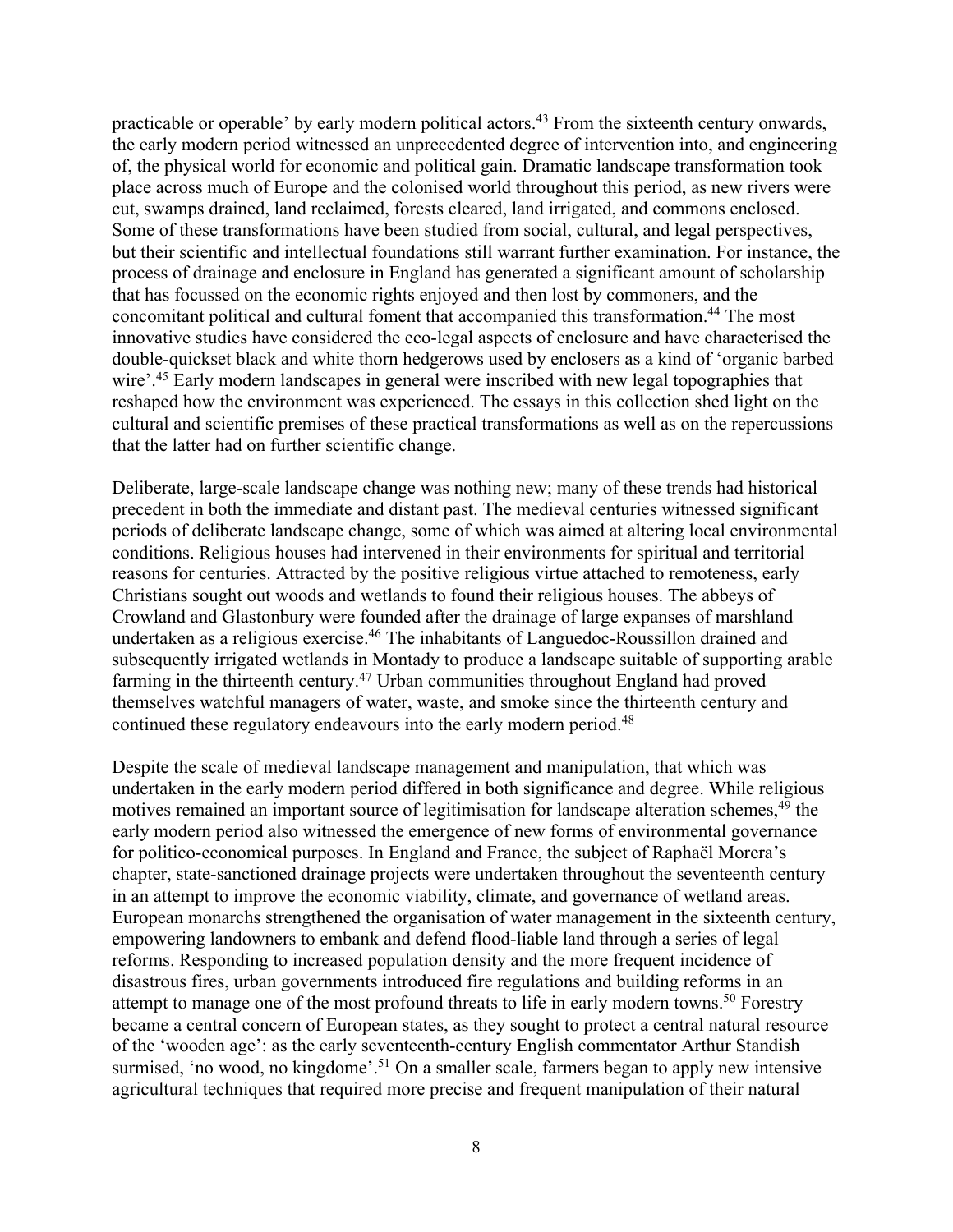practicable or operable' by early modern political actors.<sup>43</sup> From the sixteenth century onwards, the early modern period witnessed an unprecedented degree of intervention into, and engineering of, the physical world for economic and political gain. Dramatic landscape transformation took place across much of Europe and the colonised world throughout this period, as new rivers were cut, swamps drained, land reclaimed, forests cleared, land irrigated, and commons enclosed. Some of these transformations have been studied from social, cultural, and legal perspectives, but their scientific and intellectual foundations still warrant further examination. For instance, the process of drainage and enclosure in England has generated a significant amount of scholarship that has focussed on the economic rights enjoyed and then lost by commoners, and the concomitant political and cultural foment that accompanied this transformation.<sup>44</sup> The most innovative studies have considered the eco-legal aspects of enclosure and have characterised the double-quickset black and white thorn hedgerows used by enclosers as a kind of 'organic barbed wire'.<sup>45</sup> Early modern landscapes in general were inscribed with new legal topographies that reshaped how the environment was experienced. The essays in this collection shed light on the cultural and scientific premises of these practical transformations as well as on the repercussions that the latter had on further scientific change.

Deliberate, large-scale landscape change was nothing new; many of these trends had historical precedent in both the immediate and distant past. The medieval centuries witnessed significant periods of deliberate landscape change, some of which was aimed at altering local environmental conditions. Religious houses had intervened in their environments for spiritual and territorial reasons for centuries. Attracted by the positive religious virtue attached to remoteness, early Christians sought out woods and wetlands to found their religious houses. The abbeys of Crowland and Glastonbury were founded after the drainage of large expanses of marshland undertaken as a religious exercise.<sup>46</sup> The inhabitants of Languedoc-Roussillon drained and subsequently irrigated wetlands in Montady to produce a landscape suitable of supporting arable farming in the thirteenth century.47 Urban communities throughout England had proved themselves watchful managers of water, waste, and smoke since the thirteenth century and continued these regulatory endeavours into the early modern period.<sup>48</sup>

Despite the scale of medieval landscape management and manipulation, that which was undertaken in the early modern period differed in both significance and degree. While religious motives remained an important source of legitimisation for landscape alteration schemes,<sup>49</sup> the early modern period also witnessed the emergence of new forms of environmental governance for politico-economical purposes. In England and France, the subject of Raphaël Morera's chapter, state-sanctioned drainage projects were undertaken throughout the seventeenth century in an attempt to improve the economic viability, climate, and governance of wetland areas. European monarchs strengthened the organisation of water management in the sixteenth century, empowering landowners to embank and defend flood-liable land through a series of legal reforms. Responding to increased population density and the more frequent incidence of disastrous fires, urban governments introduced fire regulations and building reforms in an attempt to manage one of the most profound threats to life in early modern towns.<sup>50</sup> Forestry became a central concern of European states, as they sought to protect a central natural resource of the 'wooden age': as the early seventeenth-century English commentator Arthur Standish surmised, 'no wood, no kingdome'.<sup>51</sup> On a smaller scale, farmers began to apply new intensive agricultural techniques that required more precise and frequent manipulation of their natural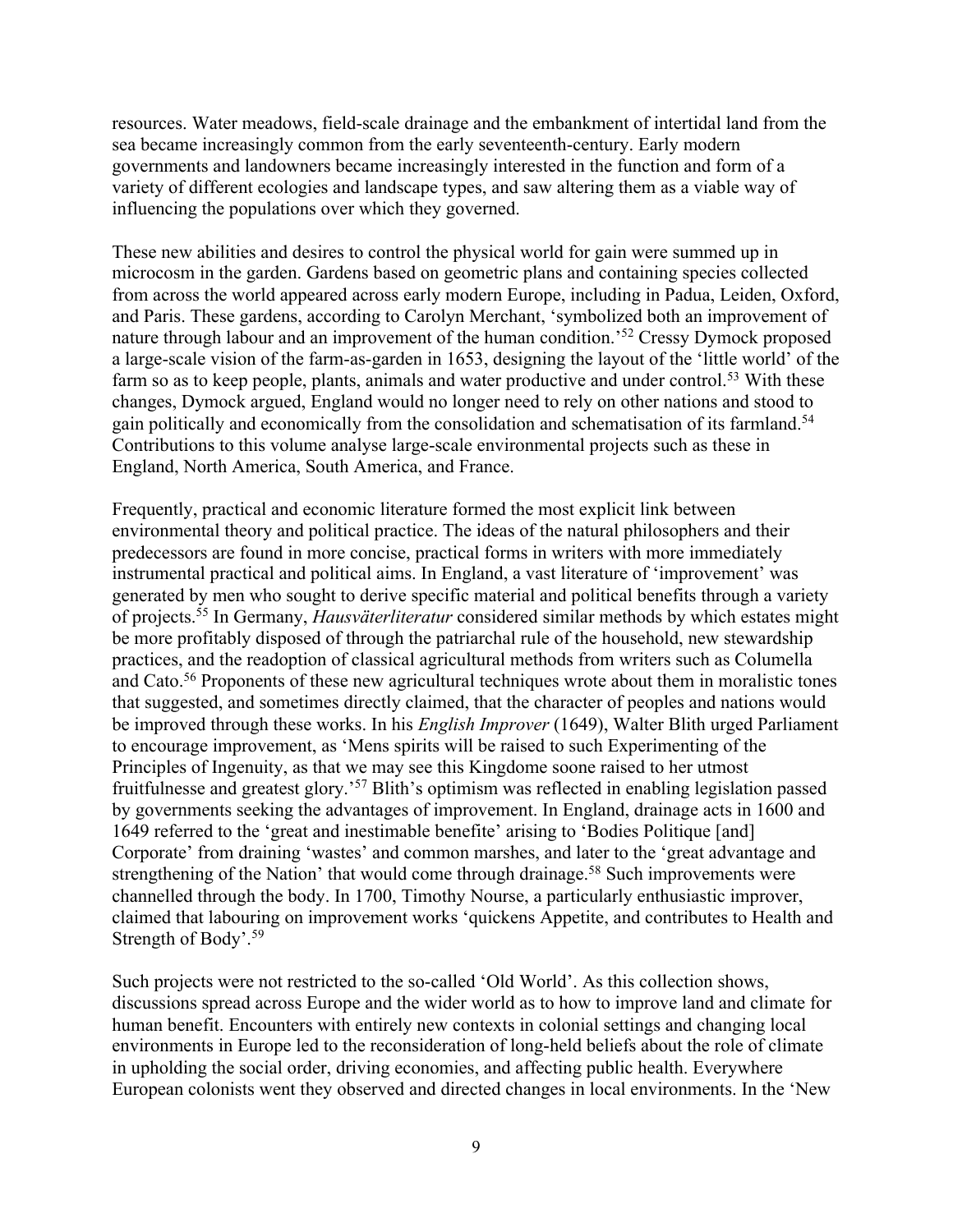resources. Water meadows, field-scale drainage and the embankment of intertidal land from the sea became increasingly common from the early seventeenth-century. Early modern governments and landowners became increasingly interested in the function and form of a variety of different ecologies and landscape types, and saw altering them as a viable way of influencing the populations over which they governed.

These new abilities and desires to control the physical world for gain were summed up in microcosm in the garden. Gardens based on geometric plans and containing species collected from across the world appeared across early modern Europe, including in Padua, Leiden, Oxford, and Paris. These gardens, according to Carolyn Merchant, 'symbolized both an improvement of nature through labour and an improvement of the human condition.'52 Cressy Dymock proposed a large-scale vision of the farm-as-garden in 1653, designing the layout of the 'little world' of the farm so as to keep people, plants, animals and water productive and under control.<sup>53</sup> With these changes, Dymock argued, England would no longer need to rely on other nations and stood to gain politically and economically from the consolidation and schematisation of its farmland.54 Contributions to this volume analyse large-scale environmental projects such as these in England, North America, South America, and France.

Frequently, practical and economic literature formed the most explicit link between environmental theory and political practice. The ideas of the natural philosophers and their predecessors are found in more concise, practical forms in writers with more immediately instrumental practical and political aims. In England, a vast literature of 'improvement' was generated by men who sought to derive specific material and political benefits through a variety of projects.55 In Germany, *Hausväterliteratur* considered similar methods by which estates might be more profitably disposed of through the patriarchal rule of the household, new stewardship practices, and the readoption of classical agricultural methods from writers such as Columella and Cato.56 Proponents of these new agricultural techniques wrote about them in moralistic tones that suggested, and sometimes directly claimed, that the character of peoples and nations would be improved through these works. In his *English Improver* (1649), Walter Blith urged Parliament to encourage improvement, as 'Mens spirits will be raised to such Experimenting of the Principles of Ingenuity, as that we may see this Kingdome soone raised to her utmost fruitfulnesse and greatest glory.'57 Blith's optimism was reflected in enabling legislation passed by governments seeking the advantages of improvement. In England, drainage acts in 1600 and 1649 referred to the 'great and inestimable benefite' arising to 'Bodies Politique [and] Corporate' from draining 'wastes' and common marshes, and later to the 'great advantage and strengthening of the Nation' that would come through drainage.<sup>58</sup> Such improvements were channelled through the body. In 1700, Timothy Nourse, a particularly enthusiastic improver, claimed that labouring on improvement works 'quickens Appetite, and contributes to Health and Strength of Body'.59

Such projects were not restricted to the so-called 'Old World'. As this collection shows, discussions spread across Europe and the wider world as to how to improve land and climate for human benefit. Encounters with entirely new contexts in colonial settings and changing local environments in Europe led to the reconsideration of long-held beliefs about the role of climate in upholding the social order, driving economies, and affecting public health. Everywhere European colonists went they observed and directed changes in local environments. In the 'New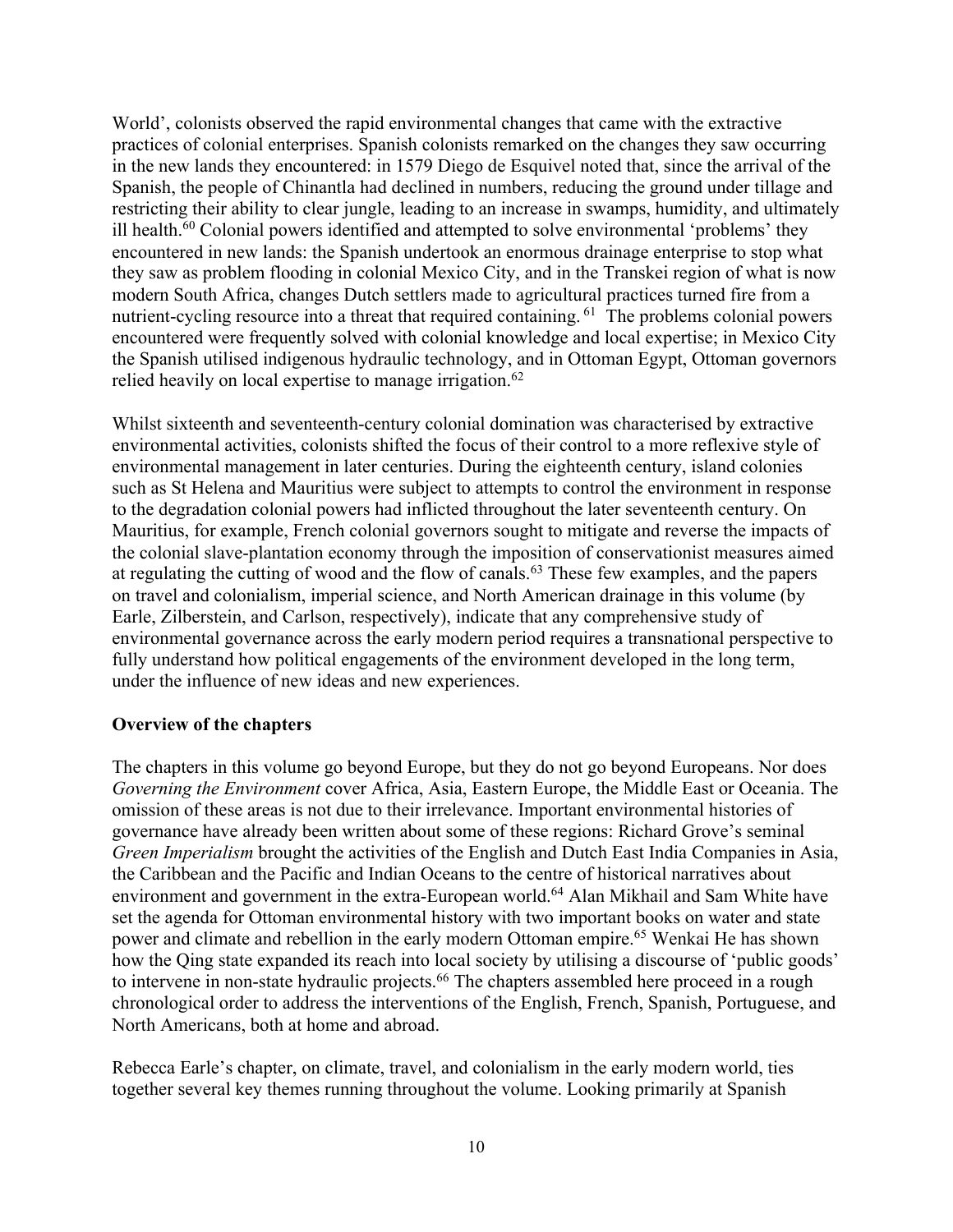World', colonists observed the rapid environmental changes that came with the extractive practices of colonial enterprises. Spanish colonists remarked on the changes they saw occurring in the new lands they encountered: in 1579 Diego de Esquivel noted that, since the arrival of the Spanish, the people of Chinantla had declined in numbers, reducing the ground under tillage and restricting their ability to clear jungle, leading to an increase in swamps, humidity, and ultimately ill health.<sup>60</sup> Colonial powers identified and attempted to solve environmental 'problems' they encountered in new lands: the Spanish undertook an enormous drainage enterprise to stop what they saw as problem flooding in colonial Mexico City, and in the Transkei region of what is now modern South Africa, changes Dutch settlers made to agricultural practices turned fire from a nutrient-cycling resource into a threat that required containing. <sup>61</sup> The problems colonial powers encountered were frequently solved with colonial knowledge and local expertise; in Mexico City the Spanish utilised indigenous hydraulic technology, and in Ottoman Egypt, Ottoman governors relied heavily on local expertise to manage irrigation.<sup>62</sup>

Whilst sixteenth and seventeenth-century colonial domination was characterised by extractive environmental activities, colonists shifted the focus of their control to a more reflexive style of environmental management in later centuries. During the eighteenth century, island colonies such as St Helena and Mauritius were subject to attempts to control the environment in response to the degradation colonial powers had inflicted throughout the later seventeenth century. On Mauritius, for example, French colonial governors sought to mitigate and reverse the impacts of the colonial slave-plantation economy through the imposition of conservationist measures aimed at regulating the cutting of wood and the flow of canals.<sup>63</sup> These few examples, and the papers on travel and colonialism, imperial science, and North American drainage in this volume (by Earle, Zilberstein, and Carlson, respectively), indicate that any comprehensive study of environmental governance across the early modern period requires a transnational perspective to fully understand how political engagements of the environment developed in the long term, under the influence of new ideas and new experiences.

## **Overview of the chapters**

The chapters in this volume go beyond Europe, but they do not go beyond Europeans. Nor does *Governing the Environment* cover Africa, Asia, Eastern Europe, the Middle East or Oceania. The omission of these areas is not due to their irrelevance. Important environmental histories of governance have already been written about some of these regions: Richard Grove's seminal *Green Imperialism* brought the activities of the English and Dutch East India Companies in Asia, the Caribbean and the Pacific and Indian Oceans to the centre of historical narratives about environment and government in the extra-European world.<sup>64</sup> Alan Mikhail and Sam White have set the agenda for Ottoman environmental history with two important books on water and state power and climate and rebellion in the early modern Ottoman empire.<sup>65</sup> Wenkai He has shown how the Qing state expanded its reach into local society by utilising a discourse of 'public goods' to intervene in non-state hydraulic projects.<sup>66</sup> The chapters assembled here proceed in a rough chronological order to address the interventions of the English, French, Spanish, Portuguese, and North Americans, both at home and abroad.

Rebecca Earle's chapter, on climate, travel, and colonialism in the early modern world, ties together several key themes running throughout the volume. Looking primarily at Spanish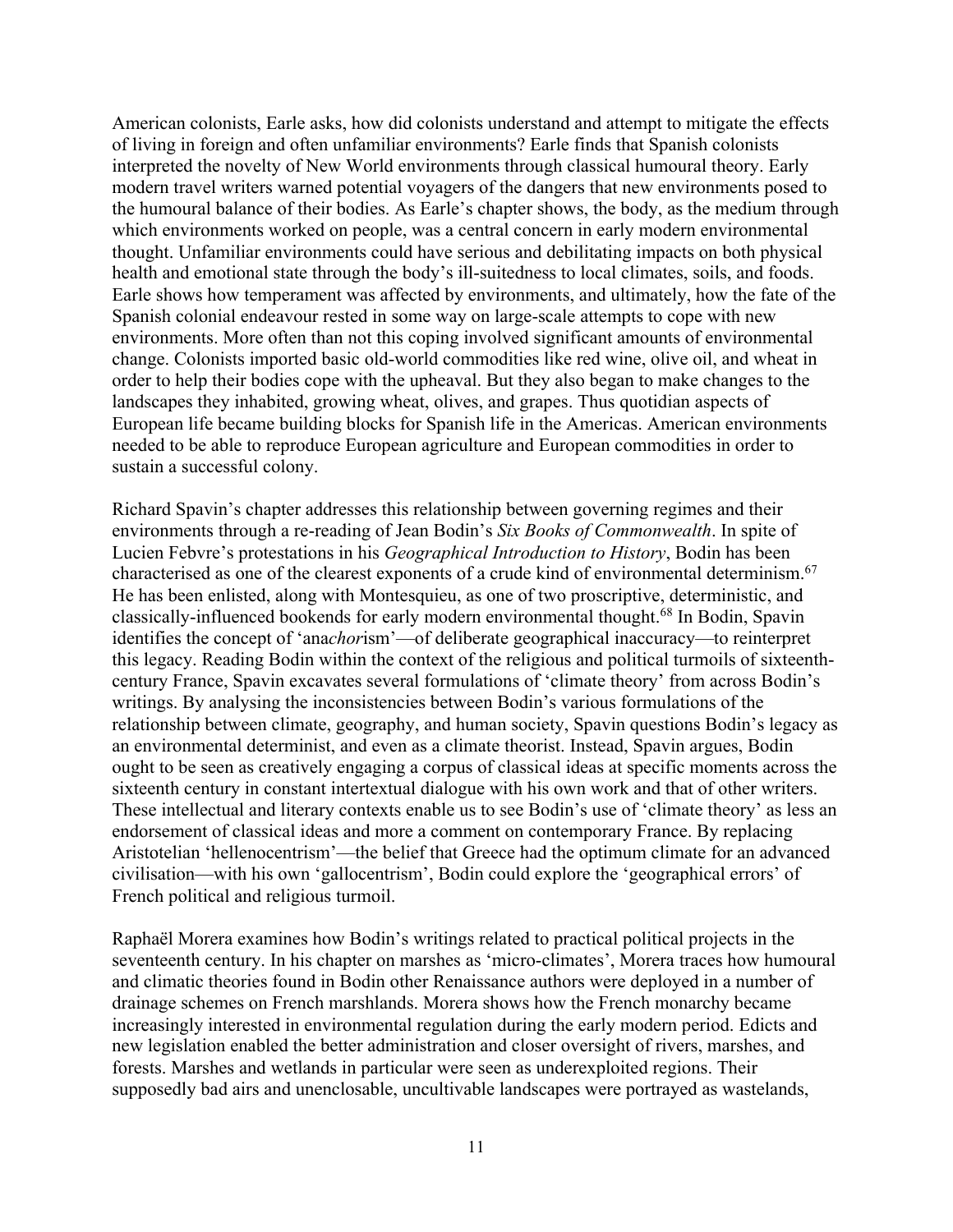American colonists, Earle asks, how did colonists understand and attempt to mitigate the effects of living in foreign and often unfamiliar environments? Earle finds that Spanish colonists interpreted the novelty of New World environments through classical humoural theory. Early modern travel writers warned potential voyagers of the dangers that new environments posed to the humoural balance of their bodies. As Earle's chapter shows, the body, as the medium through which environments worked on people, was a central concern in early modern environmental thought. Unfamiliar environments could have serious and debilitating impacts on both physical health and emotional state through the body's ill-suitedness to local climates, soils, and foods. Earle shows how temperament was affected by environments, and ultimately, how the fate of the Spanish colonial endeavour rested in some way on large-scale attempts to cope with new environments. More often than not this coping involved significant amounts of environmental change. Colonists imported basic old-world commodities like red wine, olive oil, and wheat in order to help their bodies cope with the upheaval. But they also began to make changes to the landscapes they inhabited, growing wheat, olives, and grapes. Thus quotidian aspects of European life became building blocks for Spanish life in the Americas. American environments needed to be able to reproduce European agriculture and European commodities in order to sustain a successful colony.

Richard Spavin's chapter addresses this relationship between governing regimes and their environments through a re-reading of Jean Bodin's *Six Books of Commonwealth*. In spite of Lucien Febvre's protestations in his *Geographical Introduction to History*, Bodin has been characterised as one of the clearest exponents of a crude kind of environmental determinism.<sup>67</sup> He has been enlisted, along with Montesquieu, as one of two proscriptive, deterministic, and classically-influenced bookends for early modern environmental thought.68 In Bodin, Spavin identifies the concept of 'ana*chor*ism'—of deliberate geographical inaccuracy—to reinterpret this legacy. Reading Bodin within the context of the religious and political turmoils of sixteenthcentury France, Spavin excavates several formulations of 'climate theory' from across Bodin's writings. By analysing the inconsistencies between Bodin's various formulations of the relationship between climate, geography, and human society, Spavin questions Bodin's legacy as an environmental determinist, and even as a climate theorist. Instead, Spavin argues, Bodin ought to be seen as creatively engaging a corpus of classical ideas at specific moments across the sixteenth century in constant intertextual dialogue with his own work and that of other writers. These intellectual and literary contexts enable us to see Bodin's use of 'climate theory' as less an endorsement of classical ideas and more a comment on contemporary France. By replacing Aristotelian 'hellenocentrism'—the belief that Greece had the optimum climate for an advanced civilisation—with his own 'gallocentrism', Bodin could explore the 'geographical errors' of French political and religious turmoil.

Raphaël Morera examines how Bodin's writings related to practical political projects in the seventeenth century. In his chapter on marshes as 'micro-climates', Morera traces how humoural and climatic theories found in Bodin other Renaissance authors were deployed in a number of drainage schemes on French marshlands. Morera shows how the French monarchy became increasingly interested in environmental regulation during the early modern period. Edicts and new legislation enabled the better administration and closer oversight of rivers, marshes, and forests. Marshes and wetlands in particular were seen as underexploited regions. Their supposedly bad airs and unenclosable, uncultivable landscapes were portrayed as wastelands,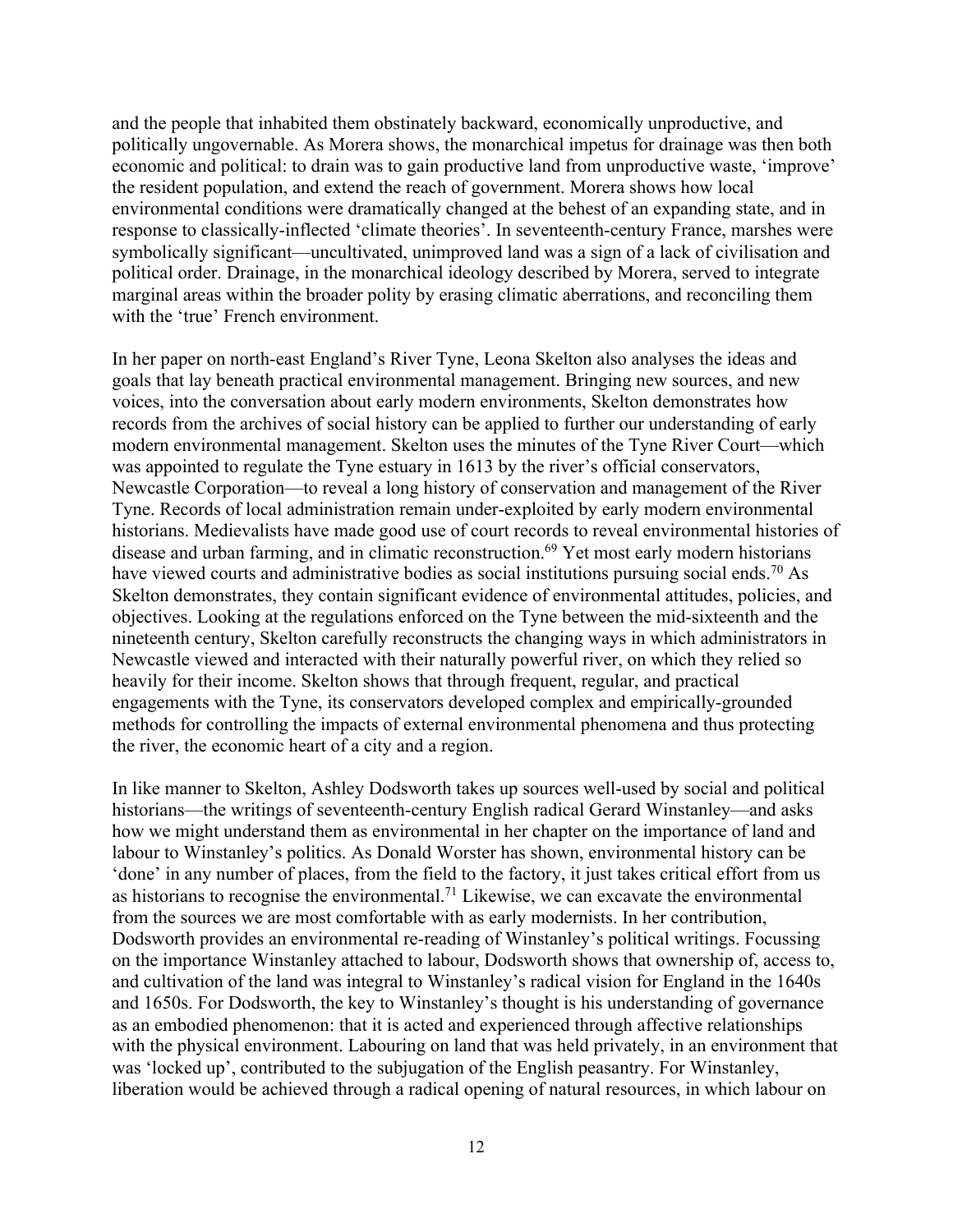and the people that inhabited them obstinately backward, economically unproductive, and politically ungovernable. As Morera shows, the monarchical impetus for drainage was then both economic and political: to drain was to gain productive land from unproductive waste, 'improve' the resident population, and extend the reach of government. Morera shows how local environmental conditions were dramatically changed at the behest of an expanding state, and in response to classically-inflected 'climate theories'. In seventeenth-century France, marshes were symbolically significant—uncultivated, unimproved land was a sign of a lack of civilisation and political order. Drainage, in the monarchical ideology described by Morera, served to integrate marginal areas within the broader polity by erasing climatic aberrations, and reconciling them with the 'true' French environment.

In her paper on north-east England's River Tyne, Leona Skelton also analyses the ideas and goals that lay beneath practical environmental management. Bringing new sources, and new voices, into the conversation about early modern environments, Skelton demonstrates how records from the archives of social history can be applied to further our understanding of early modern environmental management. Skelton uses the minutes of the Tyne River Court—which was appointed to regulate the Tyne estuary in 1613 by the river's official conservators, Newcastle Corporation—to reveal a long history of conservation and management of the River Tyne. Records of local administration remain under-exploited by early modern environmental historians. Medievalists have made good use of court records to reveal environmental histories of disease and urban farming, and in climatic reconstruction.<sup>69</sup> Yet most early modern historians have viewed courts and administrative bodies as social institutions pursuing social ends.<sup>70</sup> As Skelton demonstrates, they contain significant evidence of environmental attitudes, policies, and objectives. Looking at the regulations enforced on the Tyne between the mid-sixteenth and the nineteenth century, Skelton carefully reconstructs the changing ways in which administrators in Newcastle viewed and interacted with their naturally powerful river, on which they relied so heavily for their income. Skelton shows that through frequent, regular, and practical engagements with the Tyne, its conservators developed complex and empirically-grounded methods for controlling the impacts of external environmental phenomena and thus protecting the river, the economic heart of a city and a region.

In like manner to Skelton, Ashley Dodsworth takes up sources well-used by social and political historians—the writings of seventeenth-century English radical Gerard Winstanley—and asks how we might understand them as environmental in her chapter on the importance of land and labour to Winstanley's politics. As Donald Worster has shown, environmental history can be 'done' in any number of places, from the field to the factory, it just takes critical effort from us as historians to recognise the environmental.<sup>71</sup> Likewise, we can excavate the environmental from the sources we are most comfortable with as early modernists. In her contribution, Dodsworth provides an environmental re-reading of Winstanley's political writings. Focussing on the importance Winstanley attached to labour, Dodsworth shows that ownership of, access to, and cultivation of the land was integral to Winstanley's radical vision for England in the 1640s and 1650s. For Dodsworth, the key to Winstanley's thought is his understanding of governance as an embodied phenomenon: that it is acted and experienced through affective relationships with the physical environment. Labouring on land that was held privately, in an environment that was 'locked up', contributed to the subjugation of the English peasantry. For Winstanley, liberation would be achieved through a radical opening of natural resources, in which labour on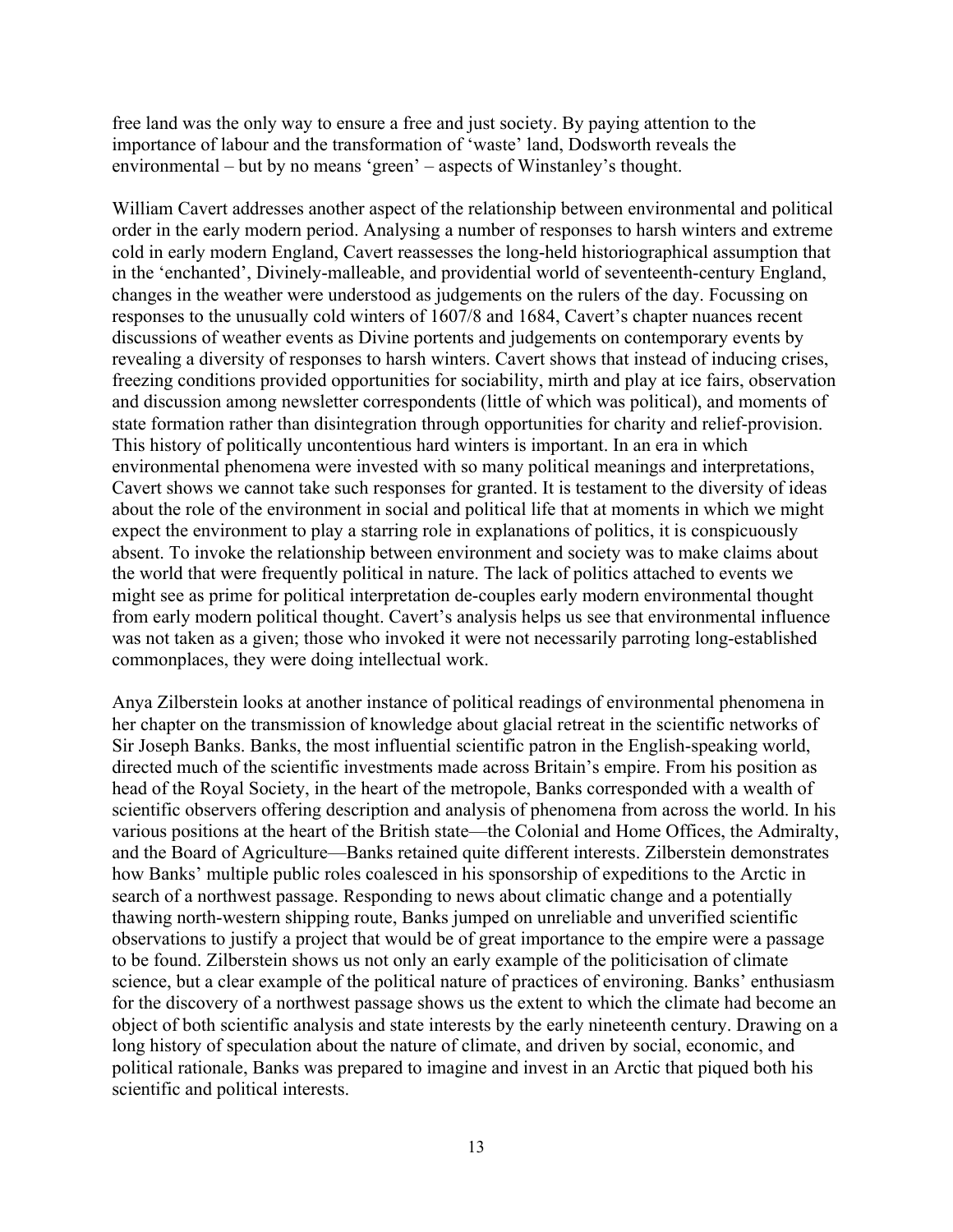free land was the only way to ensure a free and just society. By paying attention to the importance of labour and the transformation of 'waste' land, Dodsworth reveals the environmental – but by no means 'green' – aspects of Winstanley's thought.

William Cavert addresses another aspect of the relationship between environmental and political order in the early modern period. Analysing a number of responses to harsh winters and extreme cold in early modern England, Cavert reassesses the long-held historiographical assumption that in the 'enchanted', Divinely-malleable, and providential world of seventeenth-century England, changes in the weather were understood as judgements on the rulers of the day. Focussing on responses to the unusually cold winters of 1607/8 and 1684, Cavert's chapter nuances recent discussions of weather events as Divine portents and judgements on contemporary events by revealing a diversity of responses to harsh winters. Cavert shows that instead of inducing crises, freezing conditions provided opportunities for sociability, mirth and play at ice fairs, observation and discussion among newsletter correspondents (little of which was political), and moments of state formation rather than disintegration through opportunities for charity and relief-provision. This history of politically uncontentious hard winters is important. In an era in which environmental phenomena were invested with so many political meanings and interpretations, Cavert shows we cannot take such responses for granted. It is testament to the diversity of ideas about the role of the environment in social and political life that at moments in which we might expect the environment to play a starring role in explanations of politics, it is conspicuously absent. To invoke the relationship between environment and society was to make claims about the world that were frequently political in nature. The lack of politics attached to events we might see as prime for political interpretation de-couples early modern environmental thought from early modern political thought. Cavert's analysis helps us see that environmental influence was not taken as a given; those who invoked it were not necessarily parroting long-established commonplaces, they were doing intellectual work.

Anya Zilberstein looks at another instance of political readings of environmental phenomena in her chapter on the transmission of knowledge about glacial retreat in the scientific networks of Sir Joseph Banks. Banks, the most influential scientific patron in the English-speaking world, directed much of the scientific investments made across Britain's empire. From his position as head of the Royal Society, in the heart of the metropole, Banks corresponded with a wealth of scientific observers offering description and analysis of phenomena from across the world. In his various positions at the heart of the British state—the Colonial and Home Offices, the Admiralty, and the Board of Agriculture—Banks retained quite different interests. Zilberstein demonstrates how Banks' multiple public roles coalesced in his sponsorship of expeditions to the Arctic in search of a northwest passage. Responding to news about climatic change and a potentially thawing north-western shipping route, Banks jumped on unreliable and unverified scientific observations to justify a project that would be of great importance to the empire were a passage to be found. Zilberstein shows us not only an early example of the politicisation of climate science, but a clear example of the political nature of practices of environing. Banks' enthusiasm for the discovery of a northwest passage shows us the extent to which the climate had become an object of both scientific analysis and state interests by the early nineteenth century. Drawing on a long history of speculation about the nature of climate, and driven by social, economic, and political rationale, Banks was prepared to imagine and invest in an Arctic that piqued both his scientific and political interests.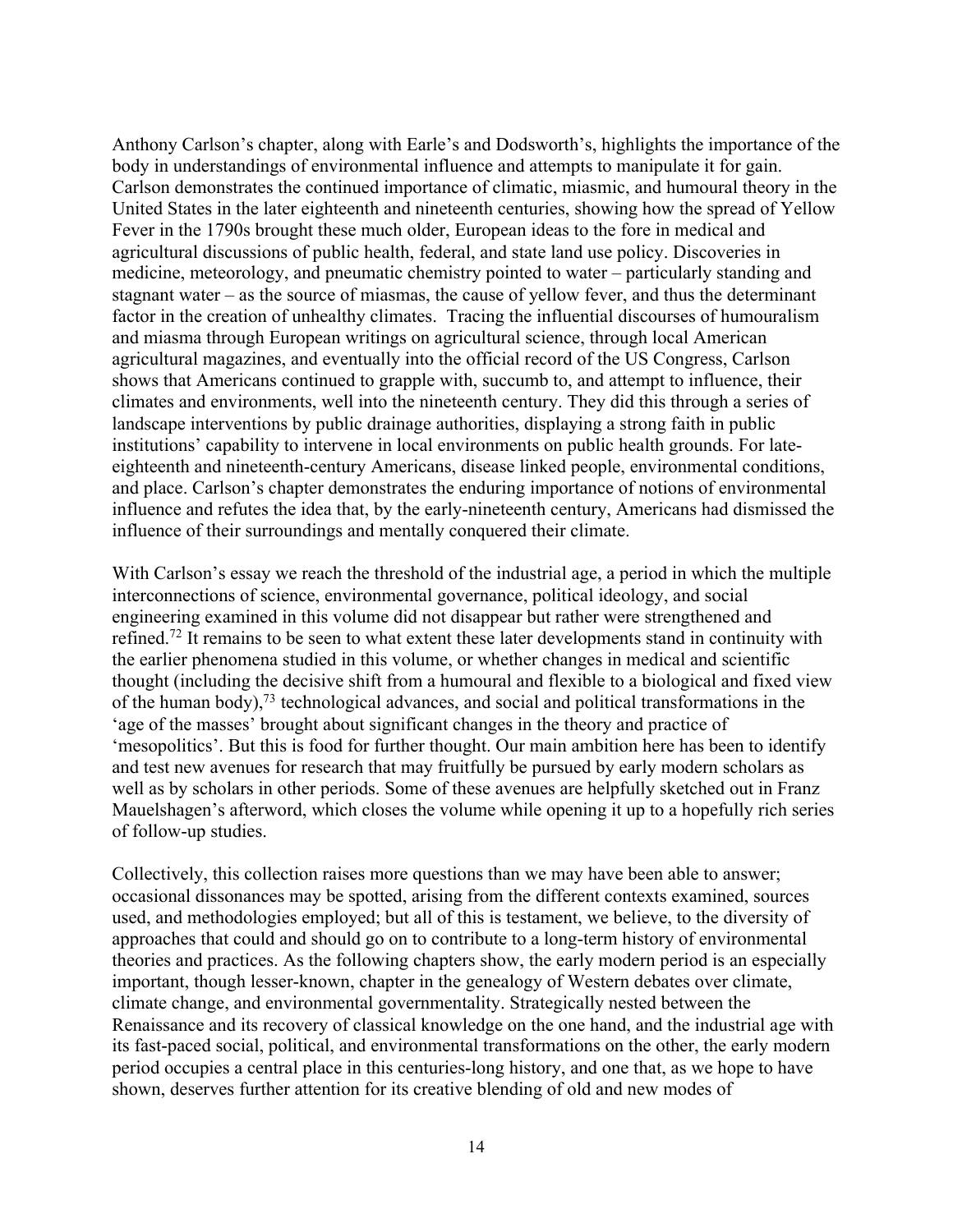Anthony Carlson's chapter, along with Earle's and Dodsworth's, highlights the importance of the body in understandings of environmental influence and attempts to manipulate it for gain. Carlson demonstrates the continued importance of climatic, miasmic, and humoural theory in the United States in the later eighteenth and nineteenth centuries, showing how the spread of Yellow Fever in the 1790s brought these much older, European ideas to the fore in medical and agricultural discussions of public health, federal, and state land use policy. Discoveries in medicine, meteorology, and pneumatic chemistry pointed to water – particularly standing and stagnant water – as the source of miasmas, the cause of yellow fever, and thus the determinant factor in the creation of unhealthy climates. Tracing the influential discourses of humouralism and miasma through European writings on agricultural science, through local American agricultural magazines, and eventually into the official record of the US Congress, Carlson shows that Americans continued to grapple with, succumb to, and attempt to influence, their climates and environments, well into the nineteenth century. They did this through a series of landscape interventions by public drainage authorities, displaying a strong faith in public institutions' capability to intervene in local environments on public health grounds. For lateeighteenth and nineteenth-century Americans, disease linked people, environmental conditions, and place. Carlson's chapter demonstrates the enduring importance of notions of environmental influence and refutes the idea that, by the early-nineteenth century, Americans had dismissed the influence of their surroundings and mentally conquered their climate.

With Carlson's essay we reach the threshold of the industrial age, a period in which the multiple interconnections of science, environmental governance, political ideology, and social engineering examined in this volume did not disappear but rather were strengthened and refined.72 It remains to be seen to what extent these later developments stand in continuity with the earlier phenomena studied in this volume, or whether changes in medical and scientific thought (including the decisive shift from a humoural and flexible to a biological and fixed view of the human body),<sup>73</sup> technological advances, and social and political transformations in the 'age of the masses' brought about significant changes in the theory and practice of 'mesopolitics'. But this is food for further thought. Our main ambition here has been to identify and test new avenues for research that may fruitfully be pursued by early modern scholars as well as by scholars in other periods. Some of these avenues are helpfully sketched out in Franz Mauelshagen's afterword, which closes the volume while opening it up to a hopefully rich series of follow-up studies.

Collectively, this collection raises more questions than we may have been able to answer; occasional dissonances may be spotted, arising from the different contexts examined, sources used, and methodologies employed; but all of this is testament, we believe, to the diversity of approaches that could and should go on to contribute to a long-term history of environmental theories and practices. As the following chapters show, the early modern period is an especially important, though lesser-known, chapter in the genealogy of Western debates over climate, climate change, and environmental governmentality. Strategically nested between the Renaissance and its recovery of classical knowledge on the one hand, and the industrial age with its fast-paced social, political, and environmental transformations on the other, the early modern period occupies a central place in this centuries-long history, and one that, as we hope to have shown, deserves further attention for its creative blending of old and new modes of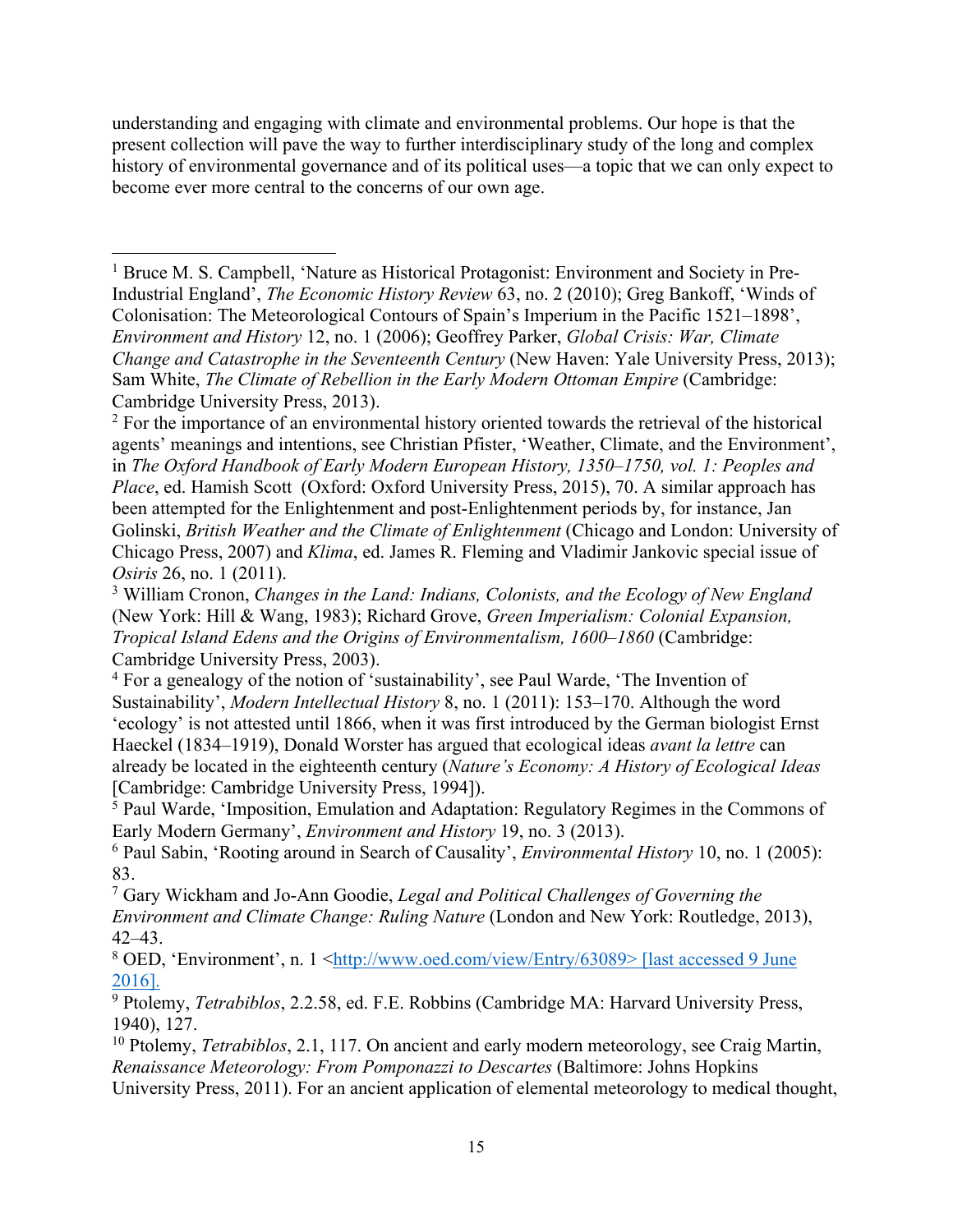understanding and engaging with climate and environmental problems. Our hope is that the present collection will pave the way to further interdisciplinary study of the long and complex history of environmental governance and of its political uses—a topic that we can only expect to become ever more central to the concerns of our own age.

<sup>1</sup> Bruce M. S. Campbell, 'Nature as Historical Protagonist: Environment and Society in Pre-Industrial England', *The Economic History Review* 63, no. 2 (2010); Greg Bankoff, 'Winds of Colonisation: The Meteorological Contours of Spain's Imperium in the Pacific 1521–1898', *Environment and History* 12, no. 1 (2006); Geoffrey Parker, *Global Crisis: War, Climate Change and Catastrophe in the Seventeenth Century* (New Haven: Yale University Press, 2013); Sam White, *The Climate of Rebellion in the Early Modern Ottoman Empire* (Cambridge: Cambridge University Press, 2013).

<sup>2</sup> For the importance of an environmental history oriented towards the retrieval of the historical agents' meanings and intentions, see Christian Pfister, 'Weather, Climate, and the Environment', in *The Oxford Handbook of Early Modern European History, 1350–1750, vol. 1: Peoples and Place*, ed. Hamish Scott (Oxford: Oxford University Press, 2015), 70. A similar approach has been attempted for the Enlightenment and post-Enlightenment periods by, for instance, Jan Golinski, *British Weather and the Climate of Enlightenment* (Chicago and London: University of Chicago Press, 2007) and *Klima*, ed. James R. Fleming and Vladimir Jankovic special issue of *Osiris* 26, no. 1 (2011).

<sup>3</sup> William Cronon, *Changes in the Land: Indians, Colonists, and the Ecology of New England* (New York: Hill & Wang, 1983); Richard Grove, *Green Imperialism: Colonial Expansion, Tropical Island Edens and the Origins of Environmentalism, 1600–1860* (Cambridge: Cambridge University Press, 2003).

<sup>4</sup> For a genealogy of the notion of 'sustainability', see Paul Warde, 'The Invention of Sustainability', *Modern Intellectual History* 8, no. 1 (2011): 153–170. Although the word 'ecology' is not attested until 1866, when it was first introduced by the German biologist Ernst Haeckel (1834–1919), Donald Worster has argued that ecological ideas *avant la lettre* can already be located in the eighteenth century (*Nature's Economy: A History of Ecological Ideas* [Cambridge: Cambridge University Press, 1994]).

 $5$  Paul Warde, 'Imposition, Emulation and Adaptation: Regulatory Regimes in the Commons of Early Modern Germany', *Environment and History* 19, no. 3 (2013).

<sup>6</sup> Paul Sabin, 'Rooting around in Search of Causality', *Environmental History* 10, no. 1 (2005): 83.

<sup>7</sup> Gary Wickham and Jo-Ann Goodie, *Legal and Political Challenges of Governing the Environment and Climate Change: Ruling Nature* (London and New York: Routledge, 2013), 42–43.

8 OED, 'Environment', n. 1 <http://www.oed.com/view/Entry/63089> [last accessed 9 June 2016].

<sup>9</sup> Ptolemy, *Tetrabiblos*, 2.2.58, ed. F.E. Robbins (Cambridge MA: Harvard University Press, 1940), 127.

<sup>10</sup> Ptolemy, *Tetrabiblos*, 2.1, 117. On ancient and early modern meteorology, see Craig Martin, *Renaissance Meteorology: From Pomponazzi to Descartes* (Baltimore: Johns Hopkins University Press, 2011). For an ancient application of elemental meteorology to medical thought,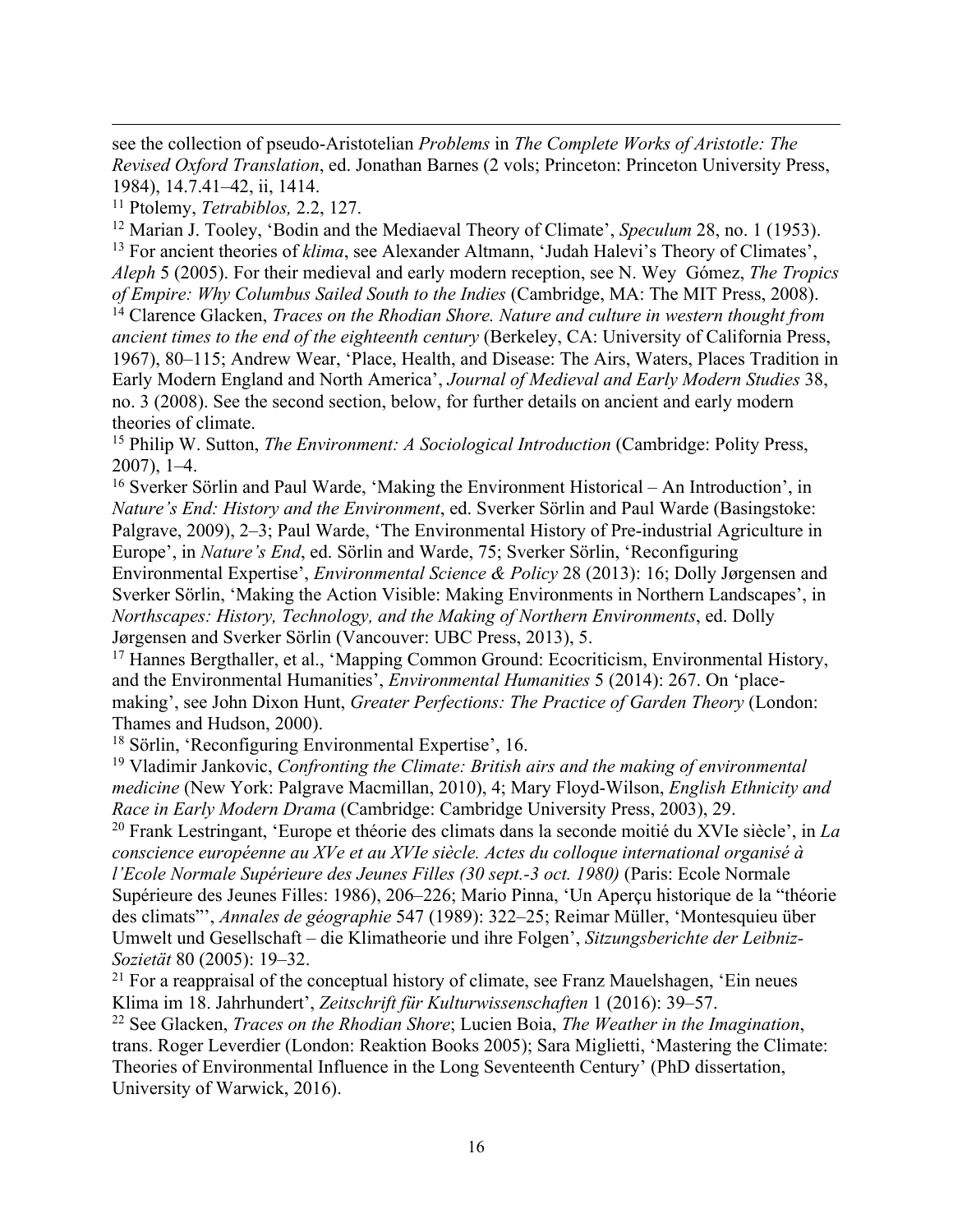see the collection of pseudo-Aristotelian *Problems* in *The Complete Works of Aristotle: The Revised Oxford Translation*, ed. Jonathan Barnes (2 vols; Princeton: Princeton University Press, 1984), 14.7.41–42, ii, 1414.

<sup>11</sup> Ptolemy, *Tetrabiblos,* 2.2, 127.

<sup>12</sup> Marian J. Tooley, 'Bodin and the Mediaeval Theory of Climate', *Speculum* 28, no. 1 (1953). <sup>13</sup> For ancient theories of *klima*, see Alexander Altmann, 'Judah Halevi's Theory of Climates', *Aleph* 5 (2005). For their medieval and early modern reception, see N. Wey Gómez, *The Tropics of Empire: Why Columbus Sailed South to the Indies* (Cambridge, MA: The MIT Press, 2008).

<sup>14</sup> Clarence Glacken, *Traces on the Rhodian Shore. Nature and culture in western thought from ancient times to the end of the eighteenth century* (Berkeley, CA: University of California Press, 1967), 80–115; Andrew Wear, 'Place, Health, and Disease: The Airs, Waters, Places Tradition in Early Modern England and North America', *Journal of Medieval and Early Modern Studies* 38, no. 3 (2008). See the second section, below, for further details on ancient and early modern theories of climate.

<sup>15</sup> Philip W. Sutton, *The Environment: A Sociological Introduction* (Cambridge: Polity Press,

2007), 1–4. 16 Sverker Sörlin and Paul Warde, 'Making the Environment Historical – An Introduction', in *Nature's End: History and the Environment*, ed. Sverker Sörlin and Paul Warde (Basingstoke: Palgrave, 2009), 2–3; Paul Warde, 'The Environmental History of Pre-industrial Agriculture in Europe', in *Nature's End*, ed. Sörlin and Warde, 75; Sverker Sörlin, 'Reconfiguring Environmental Expertise', *Environmental Science & Policy* 28 (2013): 16; Dolly Jørgensen and Sverker Sörlin, 'Making the Action Visible: Making Environments in Northern Landscapes', in *Northscapes: History, Technology, and the Making of Northern Environments*, ed. Dolly Jørgensen and Sverker Sörlin (Vancouver: UBC Press, 2013), 5.

<sup>17</sup> Hannes Bergthaller, et al., 'Mapping Common Ground: Ecocriticism, Environmental History, and the Environmental Humanities', *Environmental Humanities* 5 (2014): 267. On 'placemaking', see John Dixon Hunt, *Greater Perfections: The Practice of Garden Theory* (London: Thames and Hudson, 2000).

<sup>18</sup> Sörlin, 'Reconfiguring Environmental Expertise', 16.

<sup>19</sup> Vladimir Jankovic, *Confronting the Climate: British airs and the making of environmental medicine* (New York: Palgrave Macmillan, 2010), 4; Mary Floyd-Wilson, *English Ethnicity and Race in Early Modern Drama* (Cambridge: Cambridge University Press, 2003), 29.

<sup>20</sup> Frank Lestringant, 'Europe et théorie des climats dans la seconde moitié du XVIe siècle', in *La conscience européenne au XVe et au XVIe siècle. Actes du colloque international organisé à l'Ecole Normale Supérieure des Jeunes Filles (30 sept.-3 oct. 1980)* (Paris: Ecole Normale Supérieure des Jeunes Filles: 1986), 206–226; Mario Pinna, 'Un Aperçu historique de la "théorie des climats"', *Annales de géographie* 547 (1989): 322–25; Reimar Müller, 'Montesquieu über Umwelt und Gesellschaft – die Klimatheorie und ihre Folgen', *Sitzungsberichte der Leibniz-Sozietät* 80 (2005): 19–32.

 $21$  For a reappraisal of the conceptual history of climate, see Franz Mauelshagen, 'Ein neues Klima im 18. Jahrhundert', *Zeitschrift für Kulturwissenschaften* 1 (2016): 39–57.

<sup>22</sup> See Glacken, *Traces on the Rhodian Shore*; Lucien Boia, *The Weather in the Imagination*, trans. Roger Leverdier (London: Reaktion Books 2005); Sara Miglietti, 'Mastering the Climate: Theories of Environmental Influence in the Long Seventeenth Century' (PhD dissertation, University of Warwick, 2016).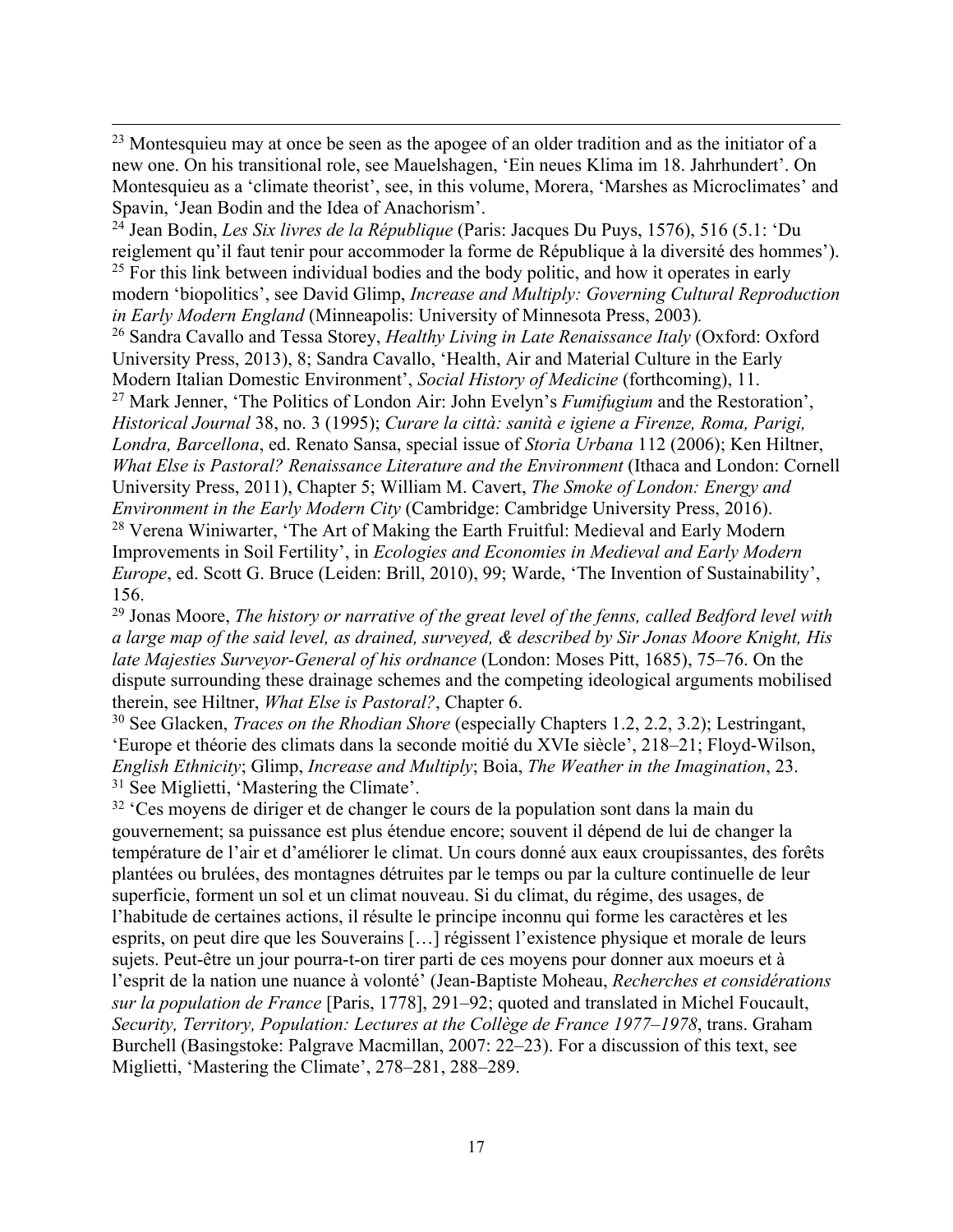<sup>23</sup> Montesquieu may at once be seen as the apogee of an older tradition and as the initiator of a new one. On his transitional role, see Mauelshagen, 'Ein neues Klima im 18. Jahrhundert'. On Montesquieu as a 'climate theorist', see, in this volume, Morera, 'Marshes as Microclimates' and Spavin, 'Jean Bodin and the Idea of Anachorism'.

<sup>24</sup> Jean Bodin, *Les Six livres de la République* (Paris: Jacques Du Puys, 1576), 516 (5.1: 'Du reiglement qu'il faut tenir pour accommoder la forme de République à la diversité des hommes').  $25$  For this link between individual bodies and the body politic, and how it operates in early modern 'biopolitics', see David Glimp, *Increase and Multiply: Governing Cultural Reproduction in Early Modern England* (Minneapolis: University of Minnesota Press, 2003)*.*

<sup>26</sup> Sandra Cavallo and Tessa Storey, *Healthy Living in Late Renaissance Italy* (Oxford: Oxford University Press, 2013), 8; Sandra Cavallo, 'Health, Air and Material Culture in the Early Modern Italian Domestic Environment', *Social History of Medicine* (forthcoming), 11.

<sup>27</sup> Mark Jenner, 'The Politics of London Air: John Evelyn's *Fumifugium* and the Restoration', *Historical Journal* 38, no. 3 (1995); *Curare la città: sanità e igiene a Firenze, Roma, Parigi, Londra, Barcellona*, ed. Renato Sansa, special issue of *Storia Urbana* 112 (2006); Ken Hiltner, *What Else is Pastoral? Renaissance Literature and the Environment* (Ithaca and London: Cornell University Press, 2011), Chapter 5; William M. Cavert, *The Smoke of London: Energy and Environment in the Early Modern City* (Cambridge: Cambridge University Press, 2016). <sup>28</sup> Verena Winiwarter, 'The Art of Making the Earth Fruitful: Medieval and Early Modern Improvements in Soil Fertility', in *Ecologies and Economies in Medieval and Early Modern Europe*, ed. Scott G. Bruce (Leiden: Brill, 2010), 99; Warde, 'The Invention of Sustainability', 156.

<sup>29</sup> Jonas Moore, *The history or narrative of the great level of the fenns, called Bedford level with a large map of the said level, as drained, surveyed, & described by Sir Jonas Moore Knight, His late Majesties Surveyor-General of his ordnance* (London: Moses Pitt, 1685), 75–76. On the dispute surrounding these drainage schemes and the competing ideological arguments mobilised therein, see Hiltner, *What Else is Pastoral?*, Chapter 6.

<sup>30</sup> See Glacken, *Traces on the Rhodian Shore* (especially Chapters 1.2, 2.2, 3.2); Lestringant, 'Europe et théorie des climats dans la seconde moitié du XVIe siècle', 218–21; Floyd-Wilson, *English Ethnicity*; Glimp, *Increase and Multiply*; Boia, *The Weather in the Imagination*, 23. <sup>31</sup> See Miglietti, 'Mastering the Climate'.

<sup>32</sup> 'Ces moyens de diriger et de changer le cours de la population sont dans la main du gouvernement; sa puissance est plus étendue encore; souvent il dépend de lui de changer la température de l'air et d'améliorer le climat. Un cours donné aux eaux croupissantes, des forêts plantées ou brulées, des montagnes détruites par le temps ou par la culture continuelle de leur superficie, forment un sol et un climat nouveau. Si du climat, du régime, des usages, de l'habitude de certaines actions, il résulte le principe inconnu qui forme les caractères et les esprits, on peut dire que les Souverains […] régissent l'existence physique et morale de leurs sujets. Peut-être un jour pourra-t-on tirer parti de ces moyens pour donner aux moeurs et à l'esprit de la nation une nuance à volonté' (Jean-Baptiste Moheau, *Recherches et considérations sur la population de France* [Paris, 1778], 291–92; quoted and translated in Michel Foucault, *Security, Territory, Population: Lectures at the Collège de France 1977–1978*, trans. Graham Burchell (Basingstoke: Palgrave Macmillan, 2007: 22–23). For a discussion of this text, see Miglietti, 'Mastering the Climate', 278–281, 288–289.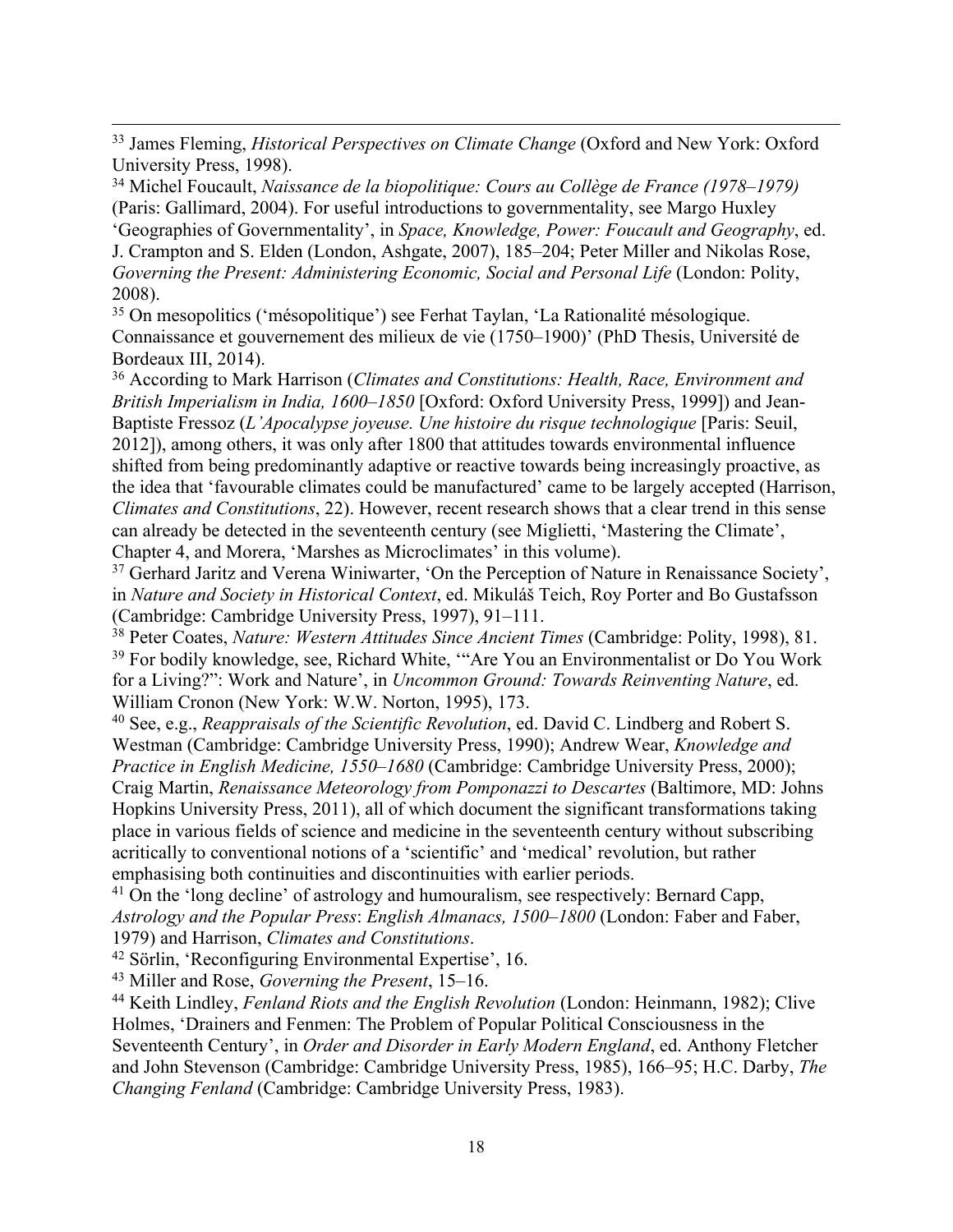<sup>34</sup> Michel Foucault, *Naissance de la biopolitique: Cours au Collège de France (1978–1979)* (Paris: Gallimard, 2004). For useful introductions to governmentality, see Margo Huxley 'Geographies of Governmentality', in *Space, Knowledge, Power: Foucault and Geography*, ed. J. Crampton and S. Elden (London, Ashgate, 2007), 185–204; Peter Miller and Nikolas Rose, *Governing the Present: Administering Economic, Social and Personal Life* (London: Polity, 2008).

<sup>35</sup> On mesopolitics ('mésopolitique') see Ferhat Taylan, 'La Rationalité mésologique. Connaissance et gouvernement des milieux de vie (1750–1900)' (PhD Thesis, Université de Bordeaux III, 2014).

<sup>36</sup> According to Mark Harrison (*Climates and Constitutions: Health, Race, Environment and British Imperialism in India, 1600–1850* [Oxford: Oxford University Press, 1999]) and Jean-Baptiste Fressoz (*L'Apocalypse joyeuse. Une histoire du risque technologique* [Paris: Seuil, 2012]), among others, it was only after 1800 that attitudes towards environmental influence shifted from being predominantly adaptive or reactive towards being increasingly proactive, as the idea that 'favourable climates could be manufactured' came to be largely accepted (Harrison, *Climates and Constitutions*, 22). However, recent research shows that a clear trend in this sense can already be detected in the seventeenth century (see Miglietti, 'Mastering the Climate', Chapter 4, and Morera, 'Marshes as Microclimates' in this volume).

 $37$  Gerhard Jaritz and Verena Winiwarter, 'On the Perception of Nature in Renaissance Society', in *Nature and Society in Historical Context*, ed. Mikuláš Teich, Roy Porter and Bo Gustafsson (Cambridge: Cambridge University Press, 1997), 91–111.

<sup>38</sup> Peter Coates, *Nature: Western Attitudes Since Ancient Times* (Cambridge: Polity, 1998), 81. <sup>39</sup> For bodily knowledge, see, Richard White, "Are You an Environmentalist or Do You Work for a Living?": Work and Nature', in *Uncommon Ground: Towards Reinventing Nature*, ed. William Cronon (New York: W.W. Norton, 1995), 173.

<sup>40</sup> See, e.g., *Reappraisals of the Scientific Revolution*, ed. David C. Lindberg and Robert S. Westman (Cambridge: Cambridge University Press, 1990); Andrew Wear, *Knowledge and Practice in English Medicine, 1550–1680* (Cambridge: Cambridge University Press, 2000); Craig Martin, *Renaissance Meteorology from Pomponazzi to Descartes* (Baltimore, MD: Johns Hopkins University Press, 2011), all of which document the significant transformations taking place in various fields of science and medicine in the seventeenth century without subscribing acritically to conventional notions of a 'scientific' and 'medical' revolution, but rather emphasising both continuities and discontinuities with earlier periods.

<sup>41</sup> On the 'long decline' of astrology and humouralism, see respectively: Bernard Capp, *Astrology and the Popular Press*: *English Almanacs, 1500–1800* (London: Faber and Faber, 1979) and Harrison, *Climates and Constitutions*.

<sup>42</sup> Sörlin, 'Reconfiguring Environmental Expertise', 16.

<sup>43</sup> Miller and Rose, *Governing the Present*, 15–16.

<sup>44</sup> Keith Lindley, *Fenland Riots and the English Revolution* (London: Heinmann, 1982); Clive Holmes, 'Drainers and Fenmen: The Problem of Popular Political Consciousness in the Seventeenth Century', in *Order and Disorder in Early Modern England*, ed. Anthony Fletcher and John Stevenson (Cambridge: Cambridge University Press, 1985), 166–95; H.C. Darby, *The Changing Fenland* (Cambridge: Cambridge University Press, 1983).

<sup>33</sup> James Fleming, *Historical Perspectives on Climate Change* (Oxford and New York: Oxford University Press, 1998).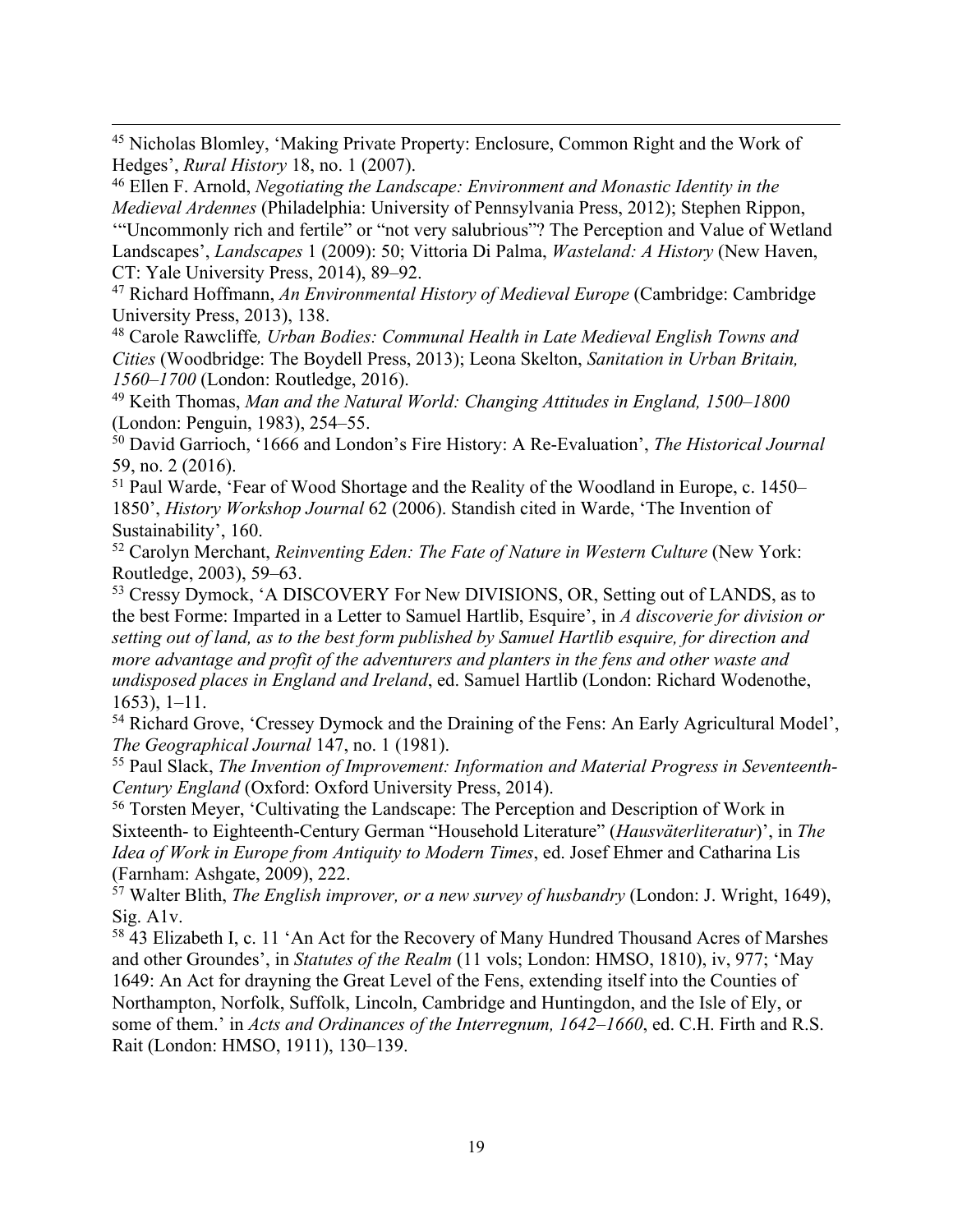<sup>45</sup> Nicholas Blomley, 'Making Private Property: Enclosure, Common Right and the Work of Hedges', *Rural History* 18, no. 1 (2007).

<sup>46</sup> Ellen F. Arnold, *Negotiating the Landscape: Environment and Monastic Identity in the Medieval Ardennes* (Philadelphia: University of Pennsylvania Press, 2012); Stephen Rippon, '"Uncommonly rich and fertile" or "not very salubrious"? The Perception and Value of Wetland Landscapes', *Landscapes* 1 (2009): 50; Vittoria Di Palma, *Wasteland: A History* (New Haven, CT: Yale University Press, 2014), 89–92.

<sup>47</sup> Richard Hoffmann, *An Environmental History of Medieval Europe* (Cambridge: Cambridge University Press, 2013), 138.

<sup>48</sup> Carole Rawcliffe*, Urban Bodies: Communal Health in Late Medieval English Towns and Cities* (Woodbridge: The Boydell Press, 2013); Leona Skelton, *Sanitation in Urban Britain, 1560–1700* (London: Routledge, 2016).

<sup>49</sup> Keith Thomas, *Man and the Natural World: Changing Attitudes in England, 1500–1800* (London: Penguin, 1983), 254–55.

<sup>50</sup> David Garrioch, '1666 and London's Fire History: A Re-Evaluation', *The Historical Journal* 59, no. 2 (2016).

<sup>51</sup> Paul Warde, 'Fear of Wood Shortage and the Reality of the Woodland in Europe, c. 1450– 1850', *History Workshop Journal* 62 (2006). Standish cited in Warde, 'The Invention of Sustainability', 160.

<sup>52</sup> Carolyn Merchant, *Reinventing Eden: The Fate of Nature in Western Culture* (New York: Routledge, 2003), 59–63.

<sup>53</sup> Cressy Dymock, 'A DISCOVERY For New DIVISIONS, OR, Setting out of LANDS, as to the best Forme: Imparted in a Letter to Samuel Hartlib, Esquire', in *A discoverie for division or setting out of land, as to the best form published by Samuel Hartlib esquire, for direction and more advantage and profit of the adventurers and planters in the fens and other waste and undisposed places in England and Ireland*, ed. Samuel Hartlib (London: Richard Wodenothe, 1653), 1–11.

<sup>54</sup> Richard Grove, 'Cressey Dymock and the Draining of the Fens: An Early Agricultural Model', *The Geographical Journal* 147, no. 1 (1981).

<sup>55</sup> Paul Slack, *The Invention of Improvement: Information and Material Progress in Seventeenth-Century England* (Oxford: Oxford University Press, 2014).

<sup>56</sup> Torsten Meyer, 'Cultivating the Landscape: The Perception and Description of Work in Sixteenth- to Eighteenth-Century German "Household Literature" (*Hausväterliteratur*)', in *The Idea of Work in Europe from Antiquity to Modern Times*, ed. Josef Ehmer and Catharina Lis (Farnham: Ashgate, 2009), 222.

<sup>57</sup> Walter Blith, *The English improver, or a new survey of husbandry* (London: J. Wright, 1649), Sig. A1v.

<sup>58</sup> 43 Elizabeth I, c. 11 'An Act for the Recovery of Many Hundred Thousand Acres of Marshes and other Groundes', in *Statutes of the Realm* (11 vols; London: HMSO, 1810), iv, 977; 'May 1649: An Act for drayning the Great Level of the Fens, extending itself into the Counties of Northampton, Norfolk, Suffolk, Lincoln, Cambridge and Huntingdon, and the Isle of Ely, or some of them.' in *Acts and Ordinances of the Interregnum, 1642–1660*, ed. C.H. Firth and R.S. Rait (London: HMSO, 1911), 130–139.